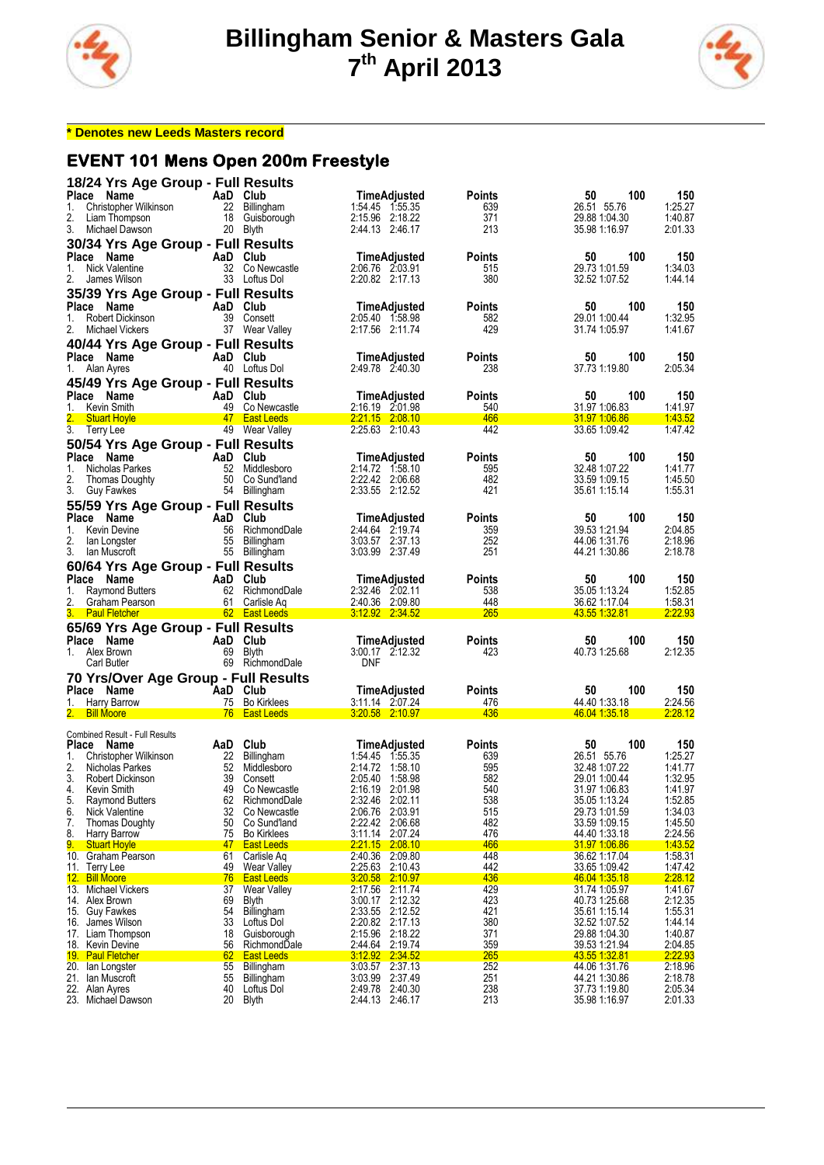



#### **\* Denotes new Leeds Masters record**

#### **EVENT 101 Mens Open 200m Freestyle**

| Place Name<br>1.<br>2.<br>3. | 18/24 Yrs Age Group - Full Results<br>Christopher Wilkinson<br>Liam Thompson<br>Michael Dawson | AaD Club  | 22 Billingham<br>18 Guisborough<br>20 Blyth        | TimeAdjusted<br>1:54.45 1:55.35<br>2:15.96 2:18.22<br>2:44.13 2:46.17 | <b>Points</b><br>639<br>371<br>213 | 100<br>50<br>26.51 55.76<br>29.88 1.04.30<br>35.98 1:16.97   | 150<br>1:25.27<br>1:40.87<br>2:01.33 |
|------------------------------|------------------------------------------------------------------------------------------------|-----------|----------------------------------------------------|-----------------------------------------------------------------------|------------------------------------|--------------------------------------------------------------|--------------------------------------|
| Place Name<br>1.<br>2.       | 30/34 Yrs Age Group - Full Results<br>Nick Valentine<br>James Wilson                           | AaD Club  | 32 Co Newcastle<br>33 Loftus Dol                   | TimeAdjusted<br>2:06.76 2:03.91<br>2:20.82 2:17.13                    | Points<br>515<br>380               | 50<br>100<br>29.73 1:01.59<br>32.52 1:07.52                  | 150<br>1:34.03<br>1:44.14            |
| Place Name<br>1.<br>2.       | 35/39 Yrs Age Group - Full Results<br>Robert Dickinson<br>Michael Vickers                      | AaD Club  | 39 Consett<br>37 Wear Valley                       | TimeAdjusted<br>2:05.40 1:58.98<br>2:17.56 2:11.74                    | Points<br>582<br>429               | 100<br>50<br>29.01 1.00.44<br>31.74 1:05.97                  | 150<br>1:32.95<br>1:41.67            |
| Place Name<br>1. Alan Ayres  | 40/44 Yrs Age Group - Full Results                                                             | AaD Club  | 40 Loftus Dol                                      | TimeAdjusted<br>2:49.78 2:40.30                                       | Points<br>238                      | 50<br>100<br>37.73 1:19.80                                   | 150<br>2:05.34                       |
| Place Name<br>1.             | 45/49 Yrs Age Group - Full Results<br>Kevin Smith                                              | AaD Club  | 49 Co Newcastle                                    | TimeAdjusted<br>2:16.19 2:01.98                                       | <b>Points</b><br>540               | 100<br>50<br>31.97 1.06.83                                   | 150<br>1:41.97                       |
| 2.<br>3.                     | <b>Stuart Hoyle</b>                                                                            |           | 47 East Leeds<br>49 Wear Valley                    | 2:21.15 2:08.10<br>2:25.63 2:10.43                                    | 466<br>442                         | 31.97 1.06.86<br>33.65 1:09.42                               | 1:43.52<br>1:47.42                   |
|                              | Terry Lee                                                                                      |           |                                                    |                                                                       |                                    |                                                              |                                      |
| Place Name<br>1.<br>2.<br>3. | 50/54 Yrs Age Group - Full Results<br>Nicholas Parkes<br>Thomas Doughty<br>Guy Fawkes          | AaD Club  | 52 Middlesboro<br>50 Co Sund'land<br>54 Billingham | TimeAdjusted<br>2:14.72 1:58.10<br>2:22.42 2:06.68<br>2:33.55 2:12.52 | Points<br>595<br>482<br>421        | 100<br>50<br>32.48 1:07.22<br>33.59 1:09.15<br>35.61 1:15.14 | 150<br>1:41.77<br>1:45.50<br>1:55.31 |
| Place Name<br>1.<br>2.       | 55/59 Yrs Age Group - Full Results<br><b>Kevin Devine</b>                                      | AaD Club  | 56 RichmondDale<br>55 Billingham                   | TimeAdjusted<br>2:44.64 2:19.74<br>3:03.57 2:37.13                    | <b>Points</b><br>359<br>252        | 50<br>100<br>39.53 1:21.94<br>44.06 1:31.76                  | 150<br>2:04.85<br>2:18.96            |
| 3.                           | lan Longster<br>lan Muscroft                                                                   |           | 55 Billingham                                      | 3:03.99 2:37.49                                                       | 251                                | 44.21 1:30.86                                                | 2:18.78                              |
|                              | 60/64 Yrs Age Group - Full Results                                                             |           |                                                    |                                                                       |                                    |                                                              |                                      |
| Place                        | Name                                                                                           | AaD Club  |                                                    | TimeAdjusted                                                          | Points                             | 100<br>50                                                    | 150                                  |
| 1.                           | <b>Raymond Butters</b>                                                                         |           | 62 RichmondDale                                    | 2:32.46 2:02.11                                                       | 538                                | 35.05 1:13.24                                                | 1:52.85                              |
| 2.                           | Graham Pearson                                                                                 |           | 61 Carlisle Aq                                     | 2:40.36 2:09.80                                                       | 448                                | 36.62 1:17.04                                                | 1:58.31                              |
|                              | <b>Paul Fletcher</b>                                                                           |           | 62 East Leeds                                      | <u>3:12.92 2:34.52</u>                                                | <b>265</b>                         | <u>43.55 1:32.81</u>                                         | 2:22.93                              |
| Place Name<br>1. Alex Brown  | 65/69 Yrs Age Group - Full Results<br>Carl Butler                                              | AaD Club  | 69 Blyth<br>69 RichmondDale                        | TimeAdjusted<br>3:00.17 2:12.32<br><b>DNF</b>                         | <b>Points</b><br>423               | 100<br>50<br>40.73 1:25.68                                   | 150<br>2:12.35                       |
|                              | 70 Yrs/Over Age Group - Full Results                                                           |           |                                                    |                                                                       |                                    |                                                              |                                      |
| Place Name                   |                                                                                                | AaD Club  |                                                    | TimeAdjusted                                                          | <b>Points</b>                      | 100<br>50                                                    | 150                                  |
| 1.                           | Harry Barrow                                                                                   |           | 75 Bo Kirklees                                     | 3:11.14 2:07.24                                                       | 476                                | 44.40 1:33.18                                                | 2:24.56                              |
| 2.                           | <b>Bill Moore</b>                                                                              |           | 76 East Leeds                                      | 3:20.58 2:10.97                                                       | 436                                | 46.04 1:35.18                                                | 2:28.12                              |
|                              | Combined Result - Full Results                                                                 |           |                                                    |                                                                       |                                    |                                                              |                                      |
| Place Name                   |                                                                                                | AaD Club  |                                                    | TimeAdjusted                                                          | <b>Points</b>                      | 100<br>50                                                    | 150                                  |
| 1.                           | Christopher Wilkinson                                                                          |           | 22 Billingham                                      | 1:54.45 1:55.35                                                       | 639                                | 26.51 55.76                                                  | 1:25.27                              |
| 2.                           | Nicholas Parkes                                                                                |           | 52 Middlesboro                                     | 2:14.72 1:58.10                                                       | 595                                | 32.48 1:07.22                                                | 1:41.77                              |
| 3.                           | Robert Dickinson                                                                               | 39        | Consett                                            | 2:05.40 1:58.98                                                       | 582                                | 29.01 1.00.44                                                | 1:32.95                              |
| 4.                           | Kevin Smith                                                                                    | 49<br>62  | Co Newcastle<br>RichmondDale                       | 2:16.19 2:01.98                                                       | 540                                | 31.97 1.06.83                                                | 1:41.97                              |
| 5.<br>6.                     | <b>Raymond Butters</b><br><b>Nick Valentine</b>                                                | 32        | Co Newcastle                                       | 2.32.46 2.02.11<br>2:06.76 2:03.91                                    | 538<br>515                         | 35.05 1:13.24<br>29.73 1.01.59                               | 1.52.85<br>1:34.03                   |
| 7.                           | <b>Thomas Doughty</b>                                                                          | 50        | Co Sund'land                                       | 2:22.42<br>2:06.68                                                    | 482                                | 33.59 1:09.15                                                | 1:45.50                              |
| 8.                           | Harry Barrow                                                                                   | 75        | <b>Bo Kirklees</b>                                 | 3:11.14 2:07.24                                                       | 476                                | 44.40 1.33.18                                                | 2:24.56                              |
| 9.                           | <b>Stuart Hovle</b>                                                                            | 47        | <b>East Leeds</b>                                  | 2.21.15 2.08.10                                                       | 466                                | <u>31.97 1.06.86</u>                                         | 1:43.52                              |
| 10.                          | Graham Pearson                                                                                 | 61        | Carlisle Ag                                        | 2:40.36 2:09.80                                                       | 448                                | 36.62 1:17.04                                                | 1:58.31                              |
| 11.<br>12. Bill Moore        | Terry Lee                                                                                      | 49<br>76  | <b>Wear Valley</b><br><b>East Leeds</b>            | 2.25.63 2.10.43<br>3:20.58 2:10.97                                    | 442<br>436                         | 33.65 1.09.42<br>46.04 1:35.18                               | 1:47.42<br>2:28.12                   |
|                              | 13. Michael Vickers                                                                            | 37        | <b>Wear Valley</b>                                 | 2:17.56<br>2:11.74                                                    | 429                                | 31.74 1.05.97                                                | 1.41.67                              |
| 14. Alex Brown               |                                                                                                | 69        | <b>Blyth</b>                                       | 3:00.17 2:12.32                                                       | 423                                | 40.73 1:25.68                                                | 2:12.35                              |
| 15. Guy Fawkes               |                                                                                                | 54        | Billingham                                         | 2:12.52<br>2:33.55                                                    | 421                                | 35.61 1:15.14                                                | 1:55.31                              |
| 16.                          | James Wilson                                                                                   | 33        | Loftus Dol                                         | 2:20.82 2:17.13                                                       | 380                                | 32.52 1:07.52                                                | 1:44.14                              |
| 17.                          | Liam Thompson                                                                                  | 18        | Guisborough                                        | 2:15.96 2:18.22                                                       | 371                                | 29.88 1:04.30                                                | 1:40.87                              |
| 19. Paul Fletcher            | 18. Kevin Devine                                                                               | 56        | RichmondDale<br><b>East Leeds</b>                  | 2:44.64 2:19.74                                                       | 359                                | 39.53 1:21.94<br><u>43.55 1.32.81</u>                        | 2:04.85<br>2:22.93                   |
|                              |                                                                                                |           |                                                    |                                                                       |                                    |                                                              |                                      |
|                              | 20. Ian Longster                                                                               | <u>62</u> |                                                    | 3:12.92<br>2:34.52<br>3.03.57                                         | <b>265</b>                         |                                                              |                                      |
| 21. Ian Muscroft             |                                                                                                | 55<br>55  | <b>Billingham</b><br><b>Billingham</b>             | 2:37.13<br>3:03.99<br>2:37.49                                         | 252<br>251                         | 44.06 1:31.76<br>44.21 1:30.86                               | 2:18.96<br>2:18.78                   |
| 22. Alan Ayres               | 23. Michael Dawson                                                                             | 40<br>20  | Loftus Dol<br><b>Blyth</b>                         | 2:49.78<br>2:40.30<br>2:44.13 2:46.17                                 | 238<br>213                         | 37.73 1:19.80<br>35.98 1:16.97                               | 2:05.34<br>2:01.33                   |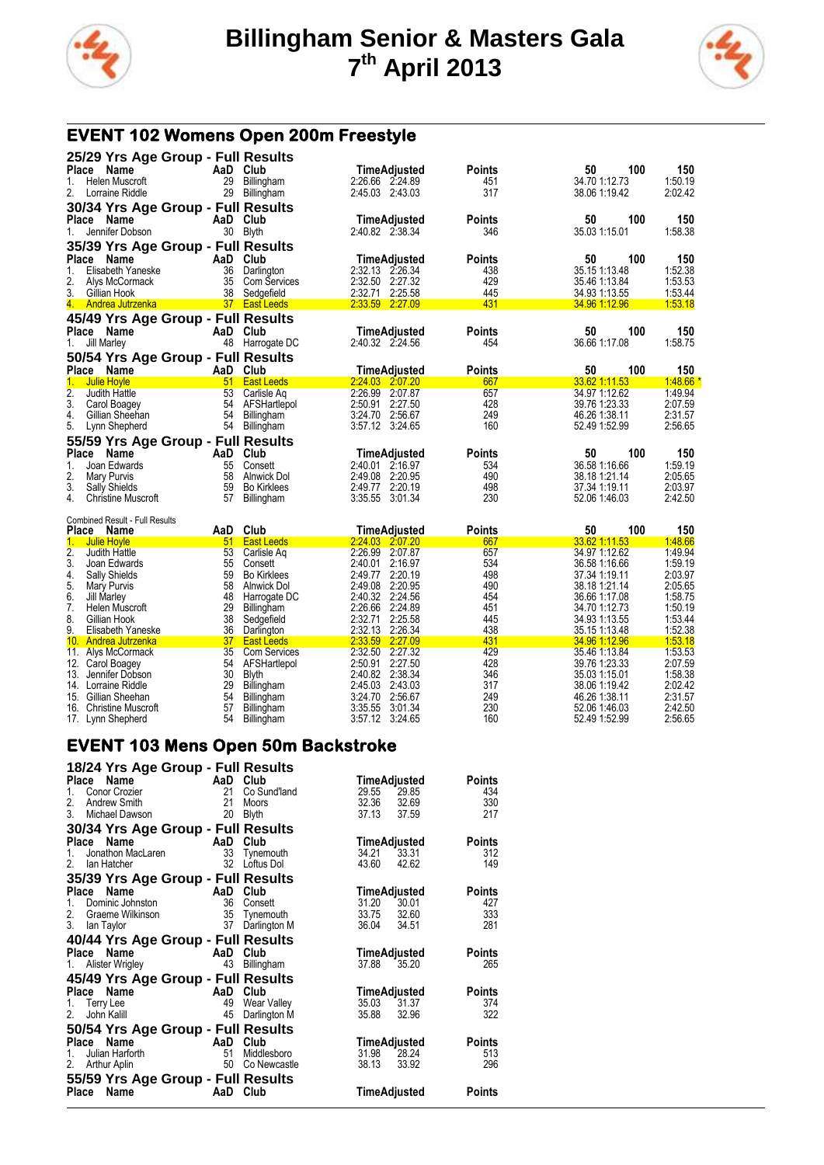



# **EVENT 102 Womens Open 200m Freestyle**

| 25/29 Yrs Age Group - Full Results<br>Place<br>Name<br>Helen Muscroft<br>1. | AaD<br>29             | Club<br><b>Billingham</b>        | TimeAdjusted<br>2:26.66 2:24.89          | Points<br>451        | 50<br>100<br>34.70 1:12.73     | 150<br>1:50.19     |
|-----------------------------------------------------------------------------|-----------------------|----------------------------------|------------------------------------------|----------------------|--------------------------------|--------------------|
| 2.<br>Lorraine Riddle                                                       | 29                    | Billingham                       | 2:45.03 2:43.03                          | 317                  | 38.06 1:19.42                  | 2:02.42            |
| 30/34 Yrs Age Group - Full Results                                          |                       |                                  |                                          |                      |                                |                    |
| Place<br>Name<br>Jennifer Dobson<br>1.                                      | 30                    | AaD Club<br>Blyth                | TimeAdjusted<br>2:40.82 2:38.34          | Points<br>346        | 50<br>100<br>35.03 1:15.01     | 150<br>1:58.38     |
| 35/39 Yrs Age Group - Full Results                                          |                       |                                  |                                          |                      |                                |                    |
| <b>Place</b><br>Name                                                        | AaD                   | Club                             | TimeAdjusted                             | <b>Points</b>        | 100<br>50                      | 150                |
| 1.<br>Elisabeth Yaneske                                                     | 36                    | Darlington                       | 2:32.13 2:26.34                          | 438                  | 35.15 1:13.48                  | 1:52.38            |
| 2.<br>Alys McCormack                                                        | 35                    | Com Services                     | 2:32.50 2:27.32                          | 429                  | 35.46 1:13.84                  | 1:53.53            |
| 3.<br>Gillian Hook<br>4.                                                    | 38<br>37 <sup>°</sup> | Sedgefield                       | 2:32.71<br>2:25.58<br>2:33.59 2:27.09    | 445<br>431           | 34.93 1:13.55                  | 1:53.44<br>1:53.18 |
| Andrea Jutrzenka                                                            |                       | <b>East Leeds</b>                |                                          |                      | <u>34.96 1:12.96</u>           |                    |
| 45/49 Yrs Age Group - Full Results                                          |                       |                                  |                                          |                      |                                |                    |
| Place<br>Name                                                               |                       | AaD Club                         | TimeAdjusted                             | Points               | 100<br>50                      | 150                |
| Jill Marley<br>1.                                                           | 48                    | Harrogate DC                     | 2:40.32 2:24.56                          | 454                  | 36.66 1:17.08                  | 1:58.75            |
| 50/54 Yrs Age Group - Full Results                                          |                       |                                  |                                          |                      |                                |                    |
| Place<br>Name                                                               | AaD                   | Club                             | TimeAdjusted                             | Points               | 50<br>100                      | 150                |
| 1.<br><b>Julie Hoyle</b><br>2.<br>Judith Hattle                             | 51<br>53              | <b>East Leeds</b><br>Carlisle Aq | 2:24.03 2:07.20<br>2:26.99 2:07.87       | 667<br>657           | 33.62 1:11.53<br>34.97 1:12.62 | 1.48.66<br>1:49.94 |
| 3.<br>Carol Boagey                                                          | 54                    | AFSHartlepol                     | 2:50.91 2:27.50                          | 428                  | 39.76 1:23.33                  | 2:07.59            |
| 4.<br>Gillian Sheehan                                                       | 54                    | <b>Billingham</b>                | 3:24.70<br>2:56.67                       | 249                  | 46.26 1:38.11                  | 2:31.57            |
| 5.<br>Lynn Shepherd                                                         | 54                    | Billingham                       | 3:57.12 3:24.65                          | 160                  | 52.49 1:52.99                  | 2:56.65            |
| 55/59 Yrs Age Group - Full Results                                          |                       |                                  |                                          |                      |                                |                    |
| Place<br>Name                                                               | AaD                   | Club                             | TimeAdjusted                             | Points               | 100<br>50                      | 150                |
| 1.<br>Joan Edwards                                                          | 55                    | Consett                          | 2:40.01<br>2:16.97                       | 534                  | 36.58 1:16.66                  | 1:59.19            |
| 2.<br>Mary Purvis                                                           | 58                    | Alnwick Dol                      | 2:49.08<br>2:20.95                       | 490                  | 38.18 1.21.14                  | 2:05.65            |
| 3.<br><b>Sally Shields</b>                                                  | 59                    | <b>Bo Kirklees</b>               | 2:49.77<br>2:20.19                       | 498                  | 37.34 1:19.11                  | 2:03.97            |
| 4.<br><b>Christine Muscroft</b>                                             | 57                    |                                  |                                          |                      |                                |                    |
|                                                                             |                       | Billingham                       | 3:35.55<br>3:01.34                       | 230                  | 52.06 1.46.03                  | 2:42.50            |
|                                                                             |                       |                                  |                                          |                      |                                |                    |
| <b>Combined Result - Full Results</b>                                       |                       | Club                             |                                          |                      | 100                            |                    |
| Place<br>Name<br>1.<br><b>Julie Hoyle</b>                                   | AaD<br>51             | <b>East Leeds</b>                | TimeAdjusted<br>2.24.03 2.07.20          | <b>Points</b><br>667 | 50<br>33.62 1:11.53            | 150<br>1:48.66     |
| $\overline{2}$ .<br>Judith Hattle                                           | 53                    | Carlisle Ag                      | 2:26.99 2:07.87                          | 657                  | 34.97 1:12.62                  | 1:49.94            |
| 3.<br>Joan Edwards                                                          | 55                    | Consett                          | 2:40.01<br>2:16.97                       | 534                  | 36.58 1:16.66                  | 1:59.19            |
| 4.<br><b>Sally Shields</b>                                                  | 59                    | <b>Bo Kirklees</b>               | 2:20.19<br>2:49.77                       | 498                  | 37.34 1:19.11                  | 2:03.97            |
| 5.<br>Mary Purvis                                                           | 58                    | Alnwick Dol                      | 2:20.95<br>2:49.08                       | 490                  | 38.18 1.21.14                  | 2:05.65            |
| 6.<br>Jill Marley                                                           | 48                    | Harrogate DC                     | 2:40.32 2:24.56                          | 454                  | 36.66 1:17.08                  | 1:58.75            |
| 7.<br>Helen Muscroft                                                        | 29                    | Billingham                       | 2:26.66<br>2:24.89                       | 451                  | 34.70 1:12.73                  | 1:50.19            |
| 8.<br>Gillian Hook<br>9.                                                    | 38                    | Sedgefield                       | 2:32.71<br>2:25.58                       | 445                  | 34.93 1:13.55                  | 1:53.44            |
| Elisabeth Yaneske<br>10 <sub>1</sub><br>Andrea Jutrzenka                    | 36<br>37              | Darlington<br><b>East Leeds</b>  | 2:32.13 2:26.34<br>2:33.59<br>2:27.09    | 438<br>431           | 35.15 1:13.48<br>34.96 1:12.96 | 1:52.38<br>1:53.18 |
| 11.<br>Alys McCormack                                                       | 35                    | Com Services                     | 2:32.50 2:27.32                          | 429                  | 35.46 1:13.84                  | 1:53.53            |
| 12.<br>Carol Boagey                                                         | 54                    | AFSHartlepol                     | 2:27.50<br>2:50.91                       | 428                  | 39.76 1:23.33                  | 2:07.59            |
| Jennifer Dobson<br>13.                                                      | 30                    | <b>Blyth</b>                     | 2:38.34<br>2:40.82                       | 346                  | 35.03 1:15.01                  | 1:58.38            |
| 14. Lorraine Riddle                                                         | 29                    | <b>Billingham</b>                | 2:45.03<br>2:43.03                       | 317                  | 38.06 1:19.42                  | 2:02.42            |
| 15.<br>Gillian Sheehan<br>16.<br><b>Christine Muscroft</b>                  | 54<br>57              | Billingham<br>Billingham         | 2:56.67<br>3:24.70<br>3:35.55<br>3:01.34 | 249<br>230           | 46.26 1:38.11<br>52.06 1:46.03 | 2:31.57<br>2:42.50 |

# **EVENT 103 Mens Open 50m Backstroke**

| 18/24 Yrs Age Group - Full Results                                                                                     |                             |                                                            |                                               |                         |                                    |
|------------------------------------------------------------------------------------------------------------------------|-----------------------------|------------------------------------------------------------|-----------------------------------------------|-------------------------|------------------------------------|
| AaD Club<br>Place Name<br>Conor Crozier<br>1.<br>2.<br>Andrew Smith<br>3.<br>Michael Dawson                            | 21<br>21<br>20              | Co Sund'land<br>Moors<br><b>Blyth</b>                      | TimeAdjusted<br>29.55<br>32.36<br>37.13       | 29.85<br>32.69<br>37.59 | Points<br>434<br>330<br>217        |
| 30/34 Yrs Age Group - Full Results                                                                                     |                             |                                                            |                                               |                         |                                    |
| Name<br><b>Example 2</b><br><b>Place</b><br>Jonathon MacLaren<br>1.<br>2.<br>Ian Hatcher                               |                             | Club<br>33 Tynemouth<br>32 Loftus Dol                      | TimeAdjusted<br>34.21<br>43.60                | 33.31<br>42.62          | Points<br>312<br>149               |
| 35/39 Yrs Age Group - Full Results                                                                                     |                             |                                                            |                                               |                         |                                    |
| Place Name<br>Dominic Johnston<br>1.<br>2.<br>Graeme Wilkinson<br>3.<br>lan Taylor                                     | <b>AaD Club</b><br>36<br>37 | Consett<br>35 Tynemouth<br>37 Darlington M<br>Darlington M | TimeAdjusted<br>31.20<br>33.75 32.60<br>36.04 | 30.01<br>34.51          | <b>Points</b><br>427<br>333<br>281 |
| 40/44 Yrs Age Group - Full Results                                                                                     |                             |                                                            |                                               |                         |                                    |
| Place Name<br><b>Example 2</b> AaD<br>Alister Wrigley<br>1.                                                            | 43                          | Club<br>Billingham                                         | TimeAdjusted<br>37.88                         | 35.20                   | Points<br>265                      |
| 45/49 Yrs Age Group - Full Results                                                                                     |                             |                                                            |                                               |                         |                                    |
| <b>Example 2</b><br>Place Name<br>Terry Lee<br>1.<br>2.<br>John Kalill                                                 | 49<br>45                    | Club<br>Wear Valley<br>Darlington M                        | TimeAdjusted<br>35.03<br>35.88                | 31.37<br>32.96          | Points<br>374<br>322               |
| 50/54 Yrs Age Group - Full Results                                                                                     |                             |                                                            |                                               |                         |                                    |
| Name<br>Place<br><b>Example 2</b><br>Julian Harforth<br>1.<br>2.<br>Arthur Aplin<br>55/59 Yrs Age Group - Full Results | 51<br>50                    | Club<br>Middlesboro<br>Co Newcastle                        | TimeAdjusted<br>31.98<br>38.13                | 28.24<br>33.92          | <b>Points</b><br>513<br>296        |
| Name<br>Place                                                                                                          | AaD Club                    |                                                            | TimeAdjusted                                  |                         | <b>Points</b>                      |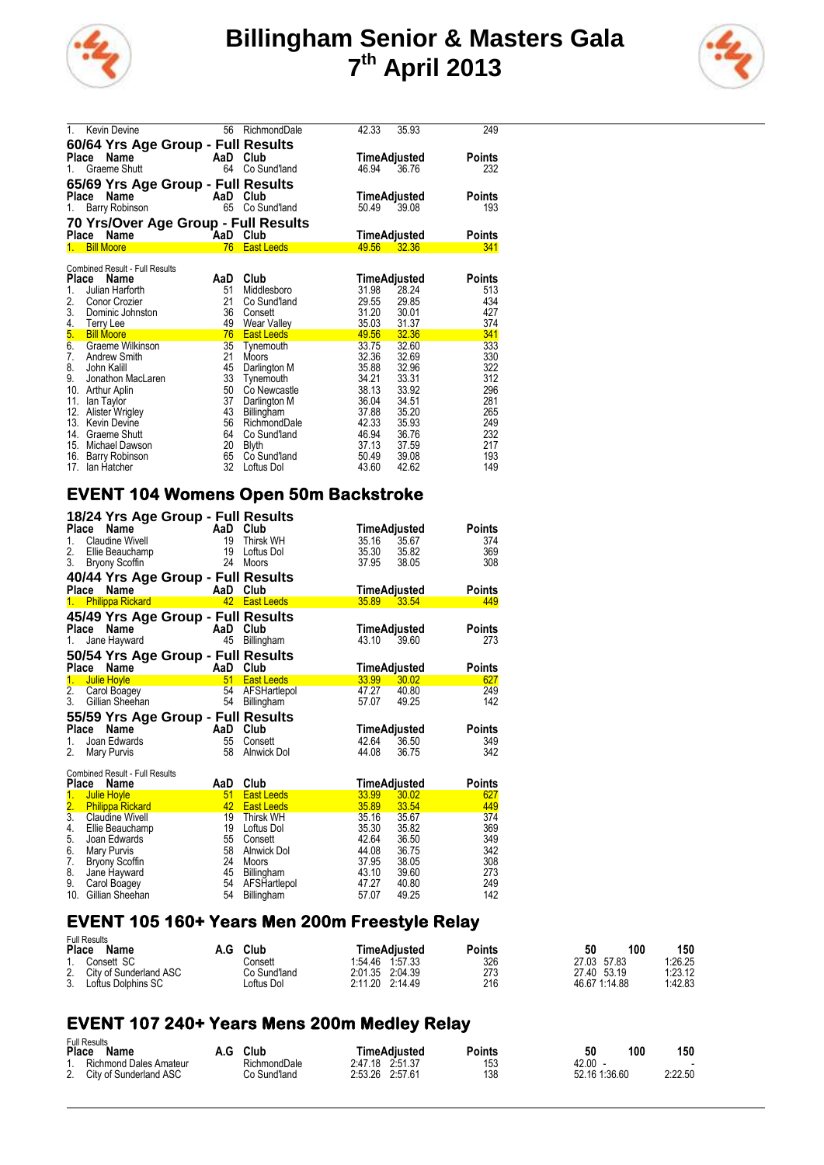



| 1.                    | <b>Kevin Devine</b>                           | 56       | RichmondDale      | 42.33 | 35.93        | 249    |
|-----------------------|-----------------------------------------------|----------|-------------------|-------|--------------|--------|
|                       | 60/64 Yrs Age Group - Full Results            |          |                   |       |              |        |
| Place                 | Name                                          | AaD Club |                   |       | TimeAdjusted | Points |
| 1.                    | Graeme Shutt                                  | 64       | Co Sund'land      | 46.94 | 36.76        | 232    |
|                       | 65/69 Yrs Age Group - Full Results            |          |                   |       |              |        |
| Place                 | Name                                          | AaD      | Club              |       | TimeAdjusted | Points |
| 1.                    | Barry Robinson                                | 65       | Co Sund'land      | 50.49 | 39.08        | 193    |
|                       |                                               |          |                   |       |              |        |
|                       | 70 Yrs/Over Age Group - Full Results          |          |                   |       |              |        |
| Place Name            |                                               | AaD Club |                   |       | TimeAdjusted | Points |
| 1. Bill Moore         |                                               | 76       | <b>East Leeds</b> | 49.56 | 32.36        | 341    |
|                       |                                               |          |                   |       |              |        |
| Place                 | <b>Combined Result - Full Results</b><br>Name | AaD      | Club              |       | TimeAdjusted | Points |
| 1.                    | Julian Harforth                               | 51       | Middlesboro       | 31.98 | 28.24        | 513    |
| 2.                    | Conor Crozier                                 | 21       | Co Sund'land      | 29.55 | 29.85        | 434    |
| 3.                    | Dominic Johnston                              | 36       | Consett           | 31.20 | 30.01        | 427    |
|                       | Terry Lee                                     | 49       | Wear Valley       | 35.03 | 31.37        | 374    |
| 4.<br><mark>5.</mark> | <b>Bill Moore</b>                             | 76       | <b>East Leeds</b> | 49.56 | 32.36        | 341    |
| 6.                    | Graeme Wilkinson                              | 35       | Tynemouth         | 33.75 | 32.60        | 333    |
| 7.                    | <b>Andrew Smith</b>                           | 21       | Moors             | 32.36 | 32.69        | 330    |
| 8.                    | John Kalill                                   | 45       | Darlington M      | 35.88 | 32.96        | 322    |
| 9.                    | Jonathon MacLaren                             | 33       | Tynemouth         | 34.21 | 33.31        | 312    |
| 10. Arthur Aplin      |                                               | 50       | Co Newcastle      | 38.13 | 33.92        | 296    |
| 11.                   | lan Taylor                                    | 37       | Darlington M      | 36.04 | 34.51        | 281    |
|                       | 12. Alister Wrigley                           | 43       | <b>Billingham</b> | 37.88 | 35.20        | 265    |
|                       | 13. Kevin Devine                              | 56       | RichmondDale      | 42.33 | 35.93        | 249    |
| 14.                   | <b>Graeme Shutt</b>                           | 64       | Co Sund'land      | 46.94 | 36.76        | 232    |
|                       | 15. Michael Dawson                            | 20       | <b>Blyth</b>      | 37.13 | 37.59        | 217    |
|                       | 16. Barry Robinson                            | 65       | Co Sund'land      | 50.49 | 39.08        | 193    |
| 17.                   | lan Hatcher                                   | 32       | Loftus Dol        | 43.60 | 42.62        | 149    |

### **EVENT 104 Womens Open 50m Backstroke**

| 18/24 Yrs Age Group - Full Results    |     |                   |                               |
|---------------------------------------|-----|-------------------|-------------------------------|
| Name<br><b>Place</b>                  | AaD | Club              | Points<br>TimeAdjusted        |
| 1.<br>Claudine Wivell                 | 19  | Thirsk WH         | 35.16<br>35.67<br>374         |
| 2.<br>Ellie Beauchamp                 | 19  | Loftus Dol        | 35.30<br>35.82<br>369         |
| 3. Bryony Scoffin                     | 24  | Moors             | 308<br>37.95<br>38.05         |
| 40/44 Yrs Age Group - Full Results    |     |                   |                               |
| Place Name                            | AaD | Club              | TimeAdjusted<br>Points        |
| 1. Philippa Rickard                   |     | 42 East Leeds     | 35.89<br>33.54<br>449         |
| 45/49 Yrs Age Group - Full Results    |     |                   |                               |
| Place Name                            | AaD | Club              | Points<br>TimeAdjusted        |
| Jane Hayward<br>1.                    | 45  | Billingham        | 43.10<br>39.60<br>273         |
| 50/54 Yrs Age Group - Full Results    |     |                   |                               |
| Name<br>Place                         | AaD | Club              | Points<br>TimeAdjusted        |
| 1.<br>Julie Hoyle                     | 51  | <b>East Leeds</b> | 33.99<br>30.02<br>627         |
| 2. Carol Boagey                       | 54  | AFSHartlepol      | 47.27<br>40.80<br>249         |
| 3.<br>Gillian Sheehan                 | 54  | Billingham        | 142<br>49.25<br>57.07         |
| 55/59 Yrs Age Group - Full Results    |     |                   |                               |
| Name<br>Place                         | AaD | Club              | TimeAdjusted<br>Points        |
| 1.<br>Joan Edwards                    | 55  | Consett           | 42.64<br>36.50<br>349         |
| 2.<br>Mary Purvis                     | 58  | Alnwick Dol       | 342<br>44.08<br>36.75         |
| <b>Combined Result - Full Results</b> |     |                   |                               |
| Place<br>Name                         | AaD | Club              | TimeAdjusted<br><b>Points</b> |
| 1.<br><b>Julie Hoyle</b>              | 51  | <b>East Leeds</b> | <b>33.99</b><br>30.02<br>627  |
| <b>Philippa Rickard</b>               | 42  | <b>East Leeds</b> | 35.89 33.54<br>449            |
| $\frac{2}{3}$ .<br>Claudine Wivell    | 19  | Thirsk WH         | 374<br>35.16<br>35.67         |
| 4. Ellie Beauchamp                    | 19  | Loftus Dol        | 35.82<br>369<br>35.30         |
| 5.<br>Joan Edwards                    | 55  | Consett           | 349<br>36.50<br>42.64         |

#### **EVENT 105 160+ Years Men 200m Freestyle Relay**

Full Results

6. Mary Purvis 58 Alnwick Dol 44.08 36.75 342 7. Bryony Scoffin 24 Moors 37.95 38.05 308 8. Jane Hayward 45 Billingham 43.10 39.60 273 9. Carol Boagey 54 AFSHartlepol 47.27 40.80 249 10. Gillian Sheehan 54 Billingham 57.07 49.25 142

| Place | i uli nesulis<br><b>Name</b> | A.G | Club         | TimeAdiusted       | Points | 50 | 100           | 150     |
|-------|------------------------------|-----|--------------|--------------------|--------|----|---------------|---------|
|       | Consett SC                   |     | Consett      | 1.57.33<br>1.54.46 | 326    |    | 27.03 57.83   | 1.26.25 |
| 2.    | City of Sunderland ASC       |     | Co Sund'Iand | 2:01.35 2:04.39    | 273    |    | 27.40 53.19   | 1:23.12 |
| 3.    | Loftus Dolphins SC           |     | ∟oftus Dol   | 2:11.20 2:14.49    | 216    |    | 46.67 1:14.88 | 1:42.83 |

## **EVENT 107 240+ Years Mens 200m Medley Relay**

| <b>Full Results</b> |                           |     |              |  |                 |  |        |  |               |     |         |
|---------------------|---------------------------|-----|--------------|--|-----------------|--|--------|--|---------------|-----|---------|
| <b>Place</b>        | Name                      | A.G | Club         |  | TimeAdiusted    |  | Points |  | 50            | 100 | 150     |
|                     | Richmond Dales Amateur    |     | RichmondDale |  | 2.47.18 2.51.37 |  | 153    |  | 42.00         |     |         |
|                     | 2. City of Sunderland ASC |     | Co Sund'Iand |  | 2:53.26 2:57.61 |  | 138    |  | 52.16 1:36.60 |     | 2:22.50 |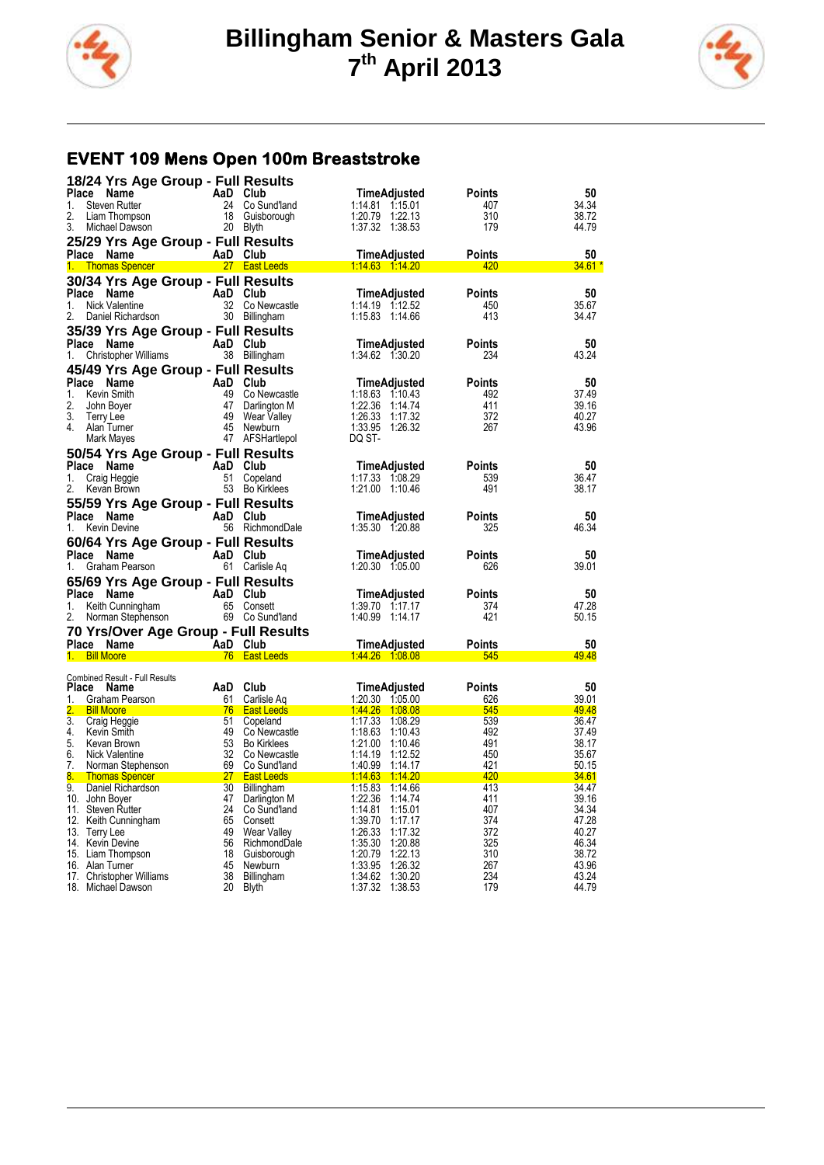



## **EVENT 109 Mens Open 100m Breaststroke**

| 18/24 Yrs Age Group - Full Results                                                                                                                                                                                                 |          |                                  |                                                            |                      |                |
|------------------------------------------------------------------------------------------------------------------------------------------------------------------------------------------------------------------------------------|----------|----------------------------------|------------------------------------------------------------|----------------------|----------------|
| Place<br>Name                                                                                                                                                                                                                      | AaD Club |                                  | TimeAdjusted                                               | <b>Points</b>        | 50             |
| <b>Steven Rutter</b><br>1.                                                                                                                                                                                                         |          | 24 Co Sund'land                  | 1:14.81 1:15.01                                            | 407                  | 34.34          |
| 2.<br>Liam Thompson                                                                                                                                                                                                                |          | 18 Guisborough                   | 1:22.13<br>1:20.79                                         | 310                  | 38.72          |
| 3.<br>Michael Dawson                                                                                                                                                                                                               |          | 20 Blyth                         | 1:37.32 1:38.53                                            | 179                  | 44.79          |
| 25/29 Yrs Age Group - Full Results                                                                                                                                                                                                 |          |                                  |                                                            |                      |                |
| Place Name                                                                                                                                                                                                                         |          | AaD Club                         | TimeAdjusted                                               | Points               | 50             |
| 1. Thomas Spencer 1997 27 East Leeds                                                                                                                                                                                               |          |                                  |                                                            | 420                  | 34.61 *        |
| 30/34 Yrs Age Group - Full Results                                                                                                                                                                                                 |          |                                  |                                                            |                      |                |
| Place Name                                                                                                                                                                                                                         |          | AaD Club                         | TimeAdjusted                                               | <b>Points</b>        | 50             |
| 1.<br>Nick Valentine<br>2.<br>Daniel Richardson                                                                                                                                                                                    |          | 32 Co Newcastle<br>30 Billingham | 1:14.19 1:12.52<br>1:15.83 1:14.66                         | 450<br>413           | 35.67<br>34.47 |
|                                                                                                                                                                                                                                    |          |                                  |                                                            |                      |                |
| 35/39 Yrs Age Group - Full Results                                                                                                                                                                                                 |          |                                  |                                                            |                      |                |
| Place Name<br>1.                                                                                                                                                                                                                   | AaD Club |                                  | TimeAdjusted<br>1:34.62 1:30.20                            | <b>Points</b><br>234 | 50<br>43.24    |
| Christopher Williams                                                                                                                                                                                                               |          | 38 Billingham                    |                                                            |                      |                |
| 45/49 Yrs Age Group - Full Results                                                                                                                                                                                                 |          |                                  |                                                            |                      |                |
| Place Name<br>1.<br>Kevin Smith                                                                                                                                                                                                    | AaD Club | 49 Co Newcastle                  | TimeAdjusted<br>1:18.63 1:10.43                            | Points<br>492        | 50<br>37.49    |
| 2.<br>John Boyer                                                                                                                                                                                                                   |          | 47 Darlington M                  | 1:22.36 1:14.74                                            | 411                  | 39.16          |
| 3.<br>Terry Lee                                                                                                                                                                                                                    |          | 49 Wear Valley                   | 1:26.33 1:17.32                                            | 372                  | 40.27          |
| 4<br>Alan Turner                                                                                                                                                                                                                   |          | 45 Newburn                       | 1:33.95 1:26.32                                            | 267                  | 43.96          |
| Mark Mayes                                                                                                                                                                                                                         |          | 47 AFSHartlepol                  | DQ ST-                                                     |                      |                |
| 50/54 Yrs Age Group - Full Results                                                                                                                                                                                                 |          |                                  |                                                            |                      |                |
| Place Name                                                                                                                                                                                                                         |          | AaD Club                         | TimeAdjusted                                               | Points               | 50             |
| 1.<br>Craig Heggie                                                                                                                                                                                                                 |          | 51 Copeland                      | 1:17.33 1:08.29                                            | 539                  | 36.47          |
| 2.<br>Kevan Brown                                                                                                                                                                                                                  |          | 53 Bo Kirklees                   | 1:21.00 1:10.46                                            | 491                  | 38.17          |
| 55/59 Yrs Age Group - Full Results                                                                                                                                                                                                 |          |                                  |                                                            |                      |                |
| Place Name                                                                                                                                                                                                                         | AaD Club |                                  | TimeAdjusted                                               | Points               | 50             |
| 1.<br><b>Kevin Devine</b>                                                                                                                                                                                                          |          | 56 RichmondDale                  | 1:35.30 1:20.88                                            | 325                  | 46.34          |
|                                                                                                                                                                                                                                    |          |                                  |                                                            |                      |                |
|                                                                                                                                                                                                                                    |          |                                  |                                                            |                      |                |
| 60/64 Yrs Age Group - Full Results<br>Place Name                                                                                                                                                                                   | AaD Club |                                  | TimeAdjusted                                               | Points               | 50             |
| 1.<br>Graham Pearson                                                                                                                                                                                                               |          | 61 Carlisle Ag                   | 1:20.30 1:05.00                                            | 626                  | 39.01          |
|                                                                                                                                                                                                                                    |          |                                  |                                                            |                      |                |
| 65/69 Yrs Age Group - Full Results<br>Place Name                                                                                                                                                                                   |          |                                  | TimeAdjusted                                               | <b>Points</b>        | 50             |
| 1.<br>Keith Cunningham                                                                                                                                                                                                             | AaD Club | 65 Consett                       | 1:39.70 1:17.17                                            | 374                  | 47.28          |
| <b>Norman Stephenson</b><br>Norman Stephenson<br>2.                                                                                                                                                                                |          | 69 Co Sund'land                  | 1:40.99 1:14.17                                            | 421                  | 50.15          |
| 70 Yrs/Over Age Group - Full Results                                                                                                                                                                                               |          |                                  |                                                            |                      |                |
| Place Name AaD Club                                                                                                                                                                                                                |          |                                  | TimeAdjusted                                               | <b>Points</b>        | 50             |
| <b>Bill Moore Contract Contract Contract Contract Contract Contract Contract Contract Contract Contract Contract Contract Contract Contract Contract Contract Contract Contract Contract Contract Contract Contract Contract C</b> |          |                                  |                                                            | 545                  | 49.48          |
|                                                                                                                                                                                                                                    |          |                                  |                                                            |                      |                |
| Combined Result - Full Results<br>Place Name                                                                                                                                                                                       | AaD Club |                                  | TimeAdjusted                                               | Points               | 50             |
| 1.<br>Graham Pearson                                                                                                                                                                                                               | 61       | Carlisle Aq                      | 1:20.30 1:05.00                                            | 626                  | 39.01          |
| <b>Bill Moore</b>                                                                                                                                                                                                                  |          |                                  |                                                            | 545                  | 49.48          |
| 3.<br>Craig Heggie                                                                                                                                                                                                                 |          | 51 Copeland                      | <u>76 East Leeds 1:44.26 1:08.08</u><br>1:17.33<br>1:08.29 | 539                  | 36.47          |
| 4.<br>Kevin Smith                                                                                                                                                                                                                  |          | 49 Co Newcastle                  | 1:18.63 1:10.43                                            | 492                  | 37.49          |
| 5.<br>Kevan Brown                                                                                                                                                                                                                  |          | 53 Bo Kirklees                   | 1:21.00<br>1:10.46                                         | 491                  | 38.17          |
| 6.<br>Nick Valentine<br>7.                                                                                                                                                                                                         |          | 32 Co Newcastle                  | 1:14.19<br>1.12.52                                         | 450<br>421           | 35.67<br>50.15 |
| Norman Stephenson 69 Co Sund'land<br>8.                                                                                                                                                                                            |          |                                  | 1.40.99 1:14.17                                            | 420                  | <u>34.61</u>   |
| 9.<br>Daniel Richardson                                                                                                                                                                                                            |          | 30 Billingham                    | 1:15.83 1:14.66                                            | 413                  | 34.47          |
| 10. John Boyer                                                                                                                                                                                                                     |          | 47 Darlington M                  | 1:22.36 1:14.74                                            | 411                  | 39.16          |
| 11. Steven Rutter                                                                                                                                                                                                                  |          | 24 Co Sund'land                  | 1:14.81 1:15.01                                            | 407                  | 34.34          |
| 12. Keith Cunningham                                                                                                                                                                                                               | 65       | Consett                          | 1:39.70 1:17.17                                            | 374                  | 47.28<br>40.27 |
| 13. Terry Lee<br>14. Kevin Devine                                                                                                                                                                                                  | 56       | 49 Wear Valley<br>RichmondDale   | 1:26.33<br>1:17.32<br>1:35.30<br>1:20.88                   | 372<br>325           | 46.34          |
| 15. Liam Thompson                                                                                                                                                                                                                  |          | 18 Guisborough                   | 1:20.79<br>1:22.13                                         | 310                  | 38.72          |
| 16. Alan Turner                                                                                                                                                                                                                    |          | 45 Newburn                       | 1:33.95<br>1:26.32                                         | 267                  | 43.96          |
| 17. Christopher Williams<br>18. Michael Dawson                                                                                                                                                                                     | 38<br>20 | Billingham<br><b>Blyth</b>       | 1.34.62<br>1.30.20<br>1.37.32<br>1:38.53                   | 234<br>179           | 43.24<br>44.79 |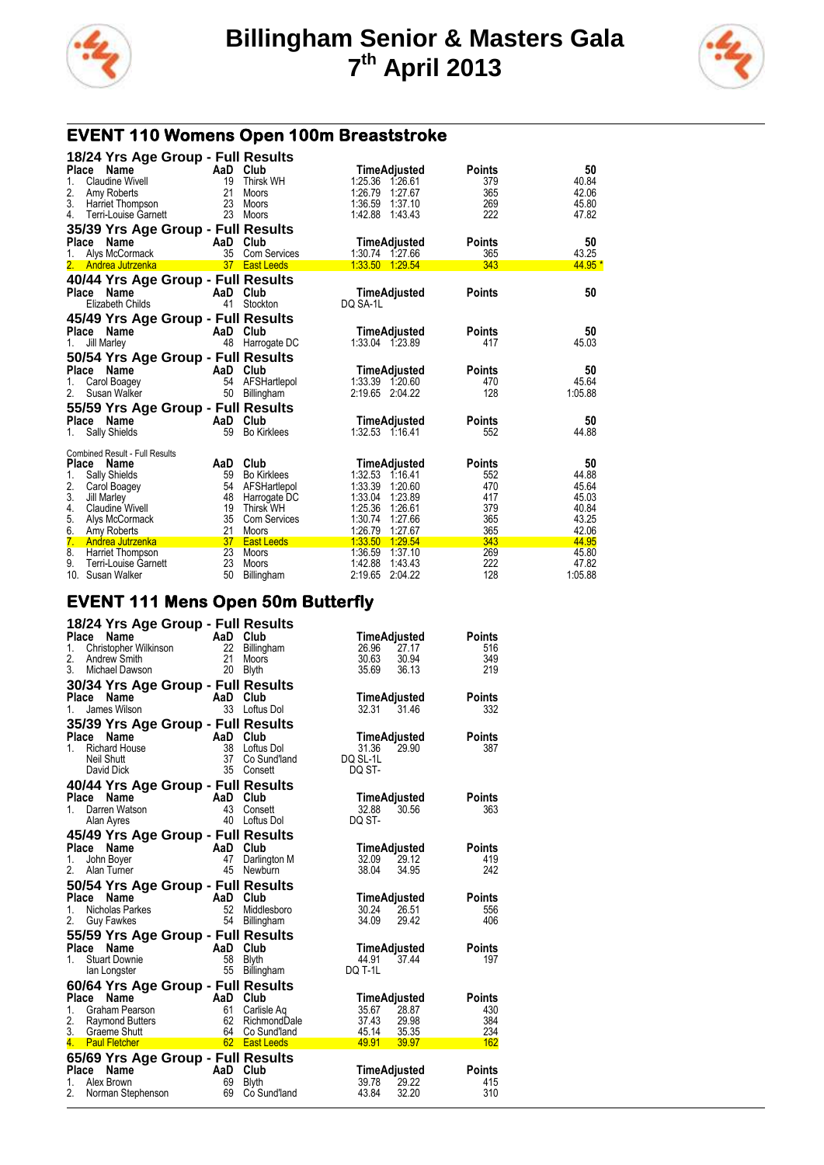



# **EVENT 110 Womens Open 100m Breaststroke**

|              | 18/24 Yrs Age Group - Full Results    |                 |                     |                          |               |         |
|--------------|---------------------------------------|-----------------|---------------------|--------------------------|---------------|---------|
| Place        | Name                                  | AaD Club        |                     | TimeAdjusted             | <b>Points</b> | 50      |
| 1.           | Claudine Wivell                       | 19              | <b>Thirsk WH</b>    | 1:25.36 1:26.61          | 379           | 40.84   |
| 2.           | Amy Roberts                           | 21              | Moors               | 1:26.79<br>1:27.67       | 365           | 42.06   |
| 3.           | Harriet Thompson                      | 23              | Moors               | 1:36.59 1:37.10          | 269           | 45.80   |
| 4.           | Terri-Louise Garnett                  | 23              | Moors               | 1:42.88 1:43.43          | 222           | 47.82   |
|              | 35/39 Yrs Age Group - Full Results    |                 |                     |                          |               |         |
| Place        | Name                                  | AaD             | Club                | <b>TimeAdjusted</b>      | <b>Points</b> | 50      |
|              | Alys McCormack                        | 35              | <b>Com Services</b> | 1:30.74<br>1:27.66       | 365           | 43.25   |
| 2.           | Andrea Jutrzenka                      | 37 <sup>2</sup> | <b>East Leeds</b>   | 1:33.50 1:29.54          | 343           | 44.95 * |
|              | 40/44 Yrs Age Group - Full Results    |                 |                     |                          |               |         |
| <b>Place</b> | Name                                  | AaD Club        |                     |                          | <b>Points</b> | 50      |
|              | Elizabeth Childs                      | 41              | Stockton            | TimeAdjusted<br>DQ SA-1L |               |         |
|              |                                       |                 |                     |                          |               |         |
|              | 45/49 Yrs Age Group - Full Results    |                 |                     |                          |               |         |
|              | Place Name                            | AaD Club        |                     | TimeAdjusted             | <b>Points</b> | 50      |
| 1.           | <b>Jill Marley</b>                    | 48              | Harrogate DC        | 1:33.04 1:23.89          | 417           | 45.03   |
|              | 50/54 Yrs Age Group - Full Results    |                 |                     |                          |               |         |
|              | Place Name                            | AaD             | Club                | TimeAdjusted             | <b>Points</b> | 50      |
| 1.           | Carol Boagey                          | 54              | AFSHartlepol        | 1:33.39 1:20.60          | 470           | 45.64   |
| 2.           | Susan Walker                          | 50              | Billingham          | 2.19.65 2.04.22          | 128           | 1:05.88 |
|              |                                       |                 |                     |                          |               |         |
|              | 55/59 Yrs Age Group - Full Results    |                 |                     |                          |               |         |
| <b>Place</b> | Name                                  | AaD             | Club                | TimeAdjusted             | <b>Points</b> | 50      |
| 1.           | Sally Shields                         | 59              | <b>Bo Kirklees</b>  | 1:32.53 1:16.41          | 552           | 44.88   |
|              | <b>Combined Result - Full Results</b> |                 |                     |                          |               |         |
|              | Place Name                            | AaD             | Club                | TimeAdjusted             | <b>Points</b> | 50      |
| 1.           | Sally Shields                         | 59              | <b>Bo Kirklees</b>  | 1:32.53 1:16.41          | 552           | 44.88   |
| 2.           | Carol Boagey                          | 54              | AFSHartlepol        | 1:33.39<br>1:20.60       | 470           | 45.64   |
| 3.           | Jill Marley                           | 48              | Harrogate DC        | 1:33.04<br>1:23.89       | 417           | 45.03   |
| 4.           | <b>Claudine Wivell</b>                | 19              | <b>Thirsk WH</b>    | 1:25.36<br>1:26.61       | 379           | 40.84   |
| 5.           | Alys McCormack                        | 35              | <b>Com Services</b> | 1:30.74<br>1:27.66       | 365           | 43.25   |
| 6.           | Amy Roberts                           | 21              | <b>Moors</b>        | 1:26.79<br>1:27.67       | 365           | 42.06   |
| 7.           | Andrea Jutrzenka                      | 37              | <b>East Leeds</b>   | 1.33.50<br>1.29.54       | 343           | 44.95   |
| 8.           | Harriet Thompson                      | 23              | Moors               | 1:36.59<br>1.37.10       | 269           | 45.80   |
| 9.           | Terri-Louise Garnett                  | 23              | Moors               | 1:42.88<br>1:43.43       | 222           | 47.82   |
|              | 10. Susan Walker                      | 50              | Billingham          | 2:19.65<br>2:04.22       | 128           | 1:05.88 |

#### **EVENT 111 Mens Open 50m Butterfly**

| 18/24 Yrs Age Group - Full Results                                                                                                                                                                                                                |                           |                                         |               |
|---------------------------------------------------------------------------------------------------------------------------------------------------------------------------------------------------------------------------------------------------|---------------------------|-----------------------------------------|---------------|
| Place<br><b>Ce Name</b><br>Christopher Wilkinson<br>22 Billingham<br>Micheal Druit                                                                                                                                                                |                           | TimeAdjusted                            | <b>Points</b> |
| 1.                                                                                                                                                                                                                                                |                           | 26.96<br>27.17                          | 516           |
| 2.                                                                                                                                                                                                                                                |                           | 30.63<br>30.94                          | 349           |
| 3.<br>Michael Dawson                                                                                                                                                                                                                              | 20 Blyth                  | 36.13<br>35.69                          | 219           |
| 30/34 Yrs Age Group - Full Results                                                                                                                                                                                                                |                           |                                         |               |
| <b>Place</b><br>Name                                                                                                                                                                                                                              | $\mathsf{AaD}$ Club       | TimeAdjusted                            | Points        |
| James Wilson<br>1.                                                                                                                                                                                                                                | 33 Loftus Dol             | 32.31<br>31.46                          | 332           |
| 35/39 Yrs Age Group - Full Results                                                                                                                                                                                                                |                           |                                         |               |
| <b>Ce Name AaD</b><br>Richard House 38<br>Neil Shutt 37<br>Place                                                                                                                                                                                  | Club                      | TimeAdjusted                            | <b>Points</b> |
| 1.                                                                                                                                                                                                                                                | Loftus Dol                | 31.36<br>29.90                          | 387           |
|                                                                                                                                                                                                                                                   | Co Sund'land              | DQ SL-1L                                |               |
| David Dick                                                                                                                                                                                                                                        | 35 Consett                | DQ ST-                                  |               |
| 40/44 Yrs Age Group - Full Results                                                                                                                                                                                                                |                           |                                         |               |
| Continue and Club<br>Darren Watson 43 Conse<br>Alan Ayres<br>Place Name                                                                                                                                                                           |                           | TimeAdjusted                            | Points        |
| 1 <sup>1</sup>                                                                                                                                                                                                                                    | Consett                   | 30.56<br>32.88                          | 363           |
|                                                                                                                                                                                                                                                   | Loftus Dol                | DQ ST-                                  |               |
| 45/49 Yrs Age Group - Full Results                                                                                                                                                                                                                |                           |                                         |               |
| Place<br>Name                                                                                                                                                                                                                                     | AaD Club<br>47 Darline    | TimeAdjusted                            | Points        |
| 1.<br>John Boyer                                                                                                                                                                                                                                  | Darlington M              | 32.09<br>29.12                          | 419           |
| 2.<br>Alan Turner                                                                                                                                                                                                                                 | 45 Newburn                | 38.04<br>34.95                          | 242           |
| 50/54 Yrs Age Group - Full Results                                                                                                                                                                                                                |                           |                                         |               |
| Comparison of the Main Club<br>Nicholas Parkes<br>Guy Fawkes<br>Guy Fawkes<br>Sample Main Club<br>Family Different Seam Prince Seam Prince Seam Prince Seam Prince Seam Prince Seam Prince Seam Prince Seam Prince Seam Prince Seam Prin<br>Place |                           | TimeAdjusted                            | <b>Points</b> |
| 1.                                                                                                                                                                                                                                                | Middlesboro               | 30.24<br>26.51                          | 556           |
| 2.                                                                                                                                                                                                                                                | 54 Billingham             | 34.09<br>29.42                          | 406           |
| 55/59 Yrs Age Group - Full Results                                                                                                                                                                                                                |                           |                                         |               |
| Place<br>Name                                                                                                                                                                                                                                     | $AaD$ Club                | TimeAdjusted                            | <b>Points</b> |
| <b>Stuart Downie</b><br>1                                                                                                                                                                                                                         |                           | 44.91<br>37.44                          | 197           |
| lan Longster                                                                                                                                                                                                                                      | 55<br>Billingham          | DQ T-1L                                 |               |
| 60/64 Yrs Age Group - Full Results                                                                                                                                                                                                                |                           |                                         |               |
| Place<br>Name                                                                                                                                                                                                                                     | AaD Club                  | TimeAdjusted                            | <b>Points</b> |
| 1 <sup>1</sup><br>Graham Pearson                                                                                                                                                                                                                  | 61<br>Carlisle Aq         | 35.67<br>28.87                          | 430           |
| 2. Raymond Butters                                                                                                                                                                                                                                | 62 RichmondDale           | 29.98                                   | 384           |
| 3.<br>Graeme Shutt                                                                                                                                                                                                                                | 64<br>Co Sund'land        | 37.43<br>45.14<br>35.35                 | 234           |
| Graeme Shutt<br><b>Paul Fletcher</b><br><b>Paul Fletcher</b><br>$4 \Box$                                                                                                                                                                          |                           | a na matangan sa kala<br>49.91<br>39.97 | 162           |
| 65/69 Yrs Age Group - Full Results                                                                                                                                                                                                                |                           |                                         |               |
| Place Name                                                                                                                                                                                                                                        | <b>Example 2</b> AaD Club | TimeAdjusted                            | <b>Points</b> |
| $1_{-}$<br>Alex Brown                                                                                                                                                                                                                             | 69<br><b>Blyth</b>        | 39.78<br>29.22                          | 415           |
| 2.<br>Norman Stephenson                                                                                                                                                                                                                           | 69<br>Co Sund'land        | 43.84<br>32.20                          | 310           |
|                                                                                                                                                                                                                                                   |                           |                                         |               |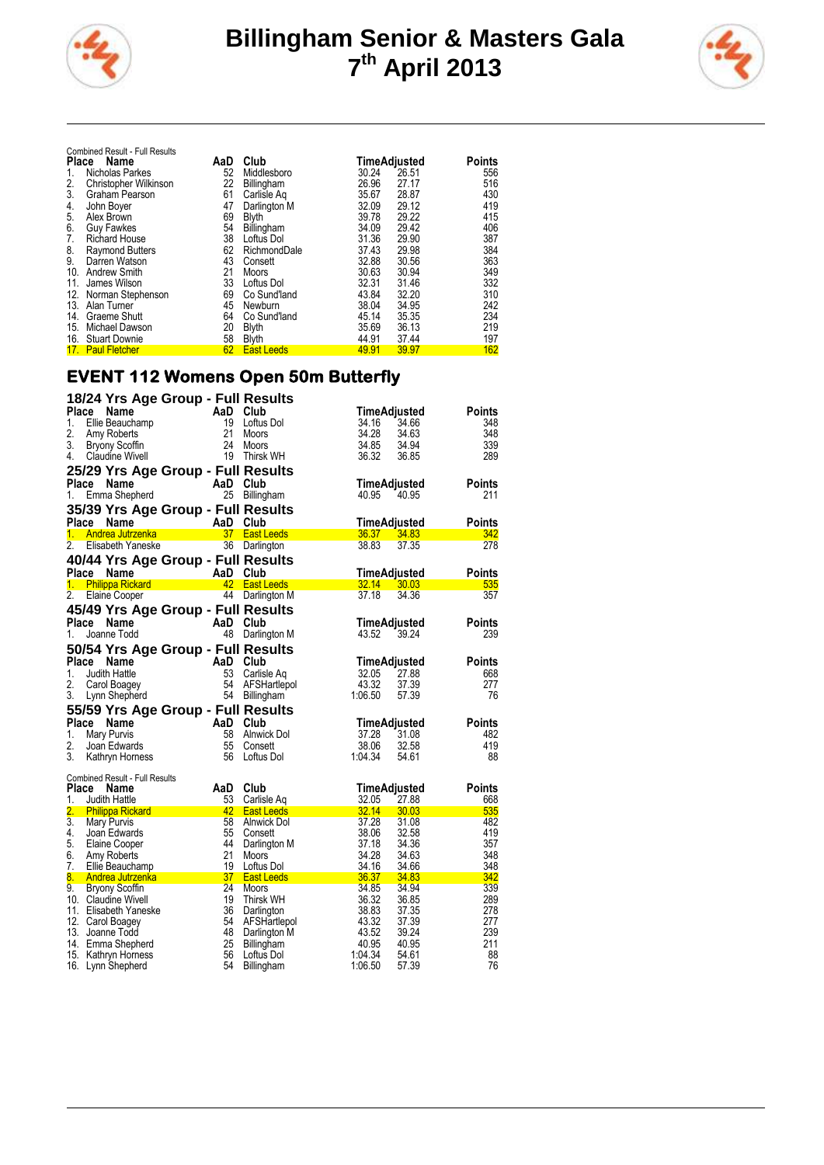



|       | <b>Combined Result - Full Results</b> |     |                   |       |              |        |
|-------|---------------------------------------|-----|-------------------|-------|--------------|--------|
| Place | Name                                  | AaD | Club              |       | TimeAdjusted | Points |
| 1.    | Nicholas Parkes                       | 52  | Middlesboro       | 30.24 | 26.51        | 556    |
| 2.    | Christopher Wilkinson                 | 22  | Billingham        | 26.96 | 27.17        | 516    |
| 3.    | Graham Pearson                        | 61  | Carlisle Ag       | 35.67 | 28.87        | 430    |
| 4.    | John Boyer                            | 47  | Darlington M      | 32.09 | 29.12        | 419    |
| 5.    | Alex Brown                            | 69  | <b>Blyth</b>      | 39.78 | 29.22        | 415    |
| 6.    | <b>Guy Fawkes</b>                     | 54  | <b>Billingham</b> | 34.09 | 29.42        | 406    |
| 7.    | <b>Richard House</b>                  | 38  | Loftus Dol        | 31.36 | 29.90        | 387    |
| 8.    | <b>Raymond Butters</b>                | 62  | RichmondDale      | 37.43 | 29.98        | 384    |
| 9.    | Darren Watson                         | 43  | Consett           | 32.88 | 30.56        | 363    |
| 10.   | <b>Andrew Smith</b>                   | 21  | Moors             | 30.63 | 30.94        | 349    |
| 11.   | James Wilson                          | 33  | Loftus Dol        | 32.31 | 31.46        | 332    |
|       | 12. Norman Stephenson                 | 69  | Co Sund'land      | 43.84 | 32.20        | 310    |
| 13.   | Alan Turner                           | 45  | Newburn           | 38.04 | 34.95        | 242    |
| 14.   | Graeme Shutt                          | 64  | Co Sund'land      | 45.14 | 35.35        | 234    |
| 15.   | Michael Dawson                        | 20  | <b>Blyth</b>      | 35.69 | 36.13        | 219    |
|       | 16. Stuart Downie                     | 58  | <b>Blyth</b>      | 44.91 | 37.44        | 197    |
|       | 17. Paul Fletcher                     | 62  | <b>East Leeds</b> | 49.91 | 39.97        | 162    |

## **EVENT 112 Womens Open 50m Butterfly**

|                  | 18/24 Yrs Age Group - Full Results                                           |                                         |                          |                                                 |
|------------------|------------------------------------------------------------------------------|-----------------------------------------|--------------------------|-------------------------------------------------|
| Place            | <b>Name</b>                                                                  | AaD Club                                |                          | TimeAdjusted<br>Points                          |
| 1.               | Ellie Beauchamp                                                              | 19                                      | Loftus Dol               | 34.16<br>348<br>34.66                           |
| 2.               | Amy Roberts                                                                  | 21                                      | Moors                    | 34.28<br>34.63<br>348                           |
| 3.               | Bryony Scoffin                                                               | 24                                      | Moors                    | 339<br>34.85<br>34.94                           |
| 4.               | <b>Claudine Wivell</b>                                                       | 19                                      | Thirsk WH                | 36.32<br>289<br>36.85                           |
|                  | 25/29 Yrs Age Group - Full Results                                           |                                         |                          |                                                 |
|                  | Place Name                                                                   | AaD Club                                |                          | TimeAdjusted<br><b>Points</b>                   |
| 1.               | Emma Shepherd                                                                | 25                                      | Billingham               | 211<br>40.95<br>40.95                           |
|                  | 35/39 Yrs Age Group - Full Results                                           |                                         |                          |                                                 |
| Place            | Name                                                                         | AaD                                     | Club                     | <b>Points</b><br>TimeAdjusted                   |
| 1.               | <b>Andrea Jutrzenka</b>                                                      | <b>Aau Giuu</b><br><u>37 East Leeds</u> |                          | 36.37 34.83<br>342                              |
| 2.               | Elisabeth Yaneske                                                            |                                         | 36 Darlington            | 38.83<br>37.35<br>278                           |
|                  | 40/44 Yrs Age Group - Full Results                                           |                                         |                          |                                                 |
| Place            | <b>Name</b>                                                                  | AaD                                     | Club                     | TimeAdjusted<br>Points                          |
|                  | 1. Philippa Rickard 1. 12 East Leeds<br>2. Flaine Cooper 1. 144 Darlington 1 |                                         |                          | $32.14$ $30.03$<br>535                          |
| 2.               | <b>Elaine Cooper</b>                                                         | 44                                      | Darlington M             | 37.18<br>34.36<br>357                           |
|                  | 45/49 Yrs Age Group - Full Results                                           |                                         |                          |                                                 |
|                  | Place Name                                                                   | AaD Club                                |                          | TimeAdjusted<br>Points                          |
| 1.               | Joanne Todd                                                                  | 48                                      | Darlington M             | 43.52<br>239<br>39.24                           |
|                  | 50/54 Yrs Age Group - Full Results                                           |                                         |                          |                                                 |
|                  | Place Name                                                                   | AaD                                     | Club                     | TimeAdjusted<br><b>Points</b>                   |
| 1.               | Judith Hattle                                                                | 53                                      | Carlisle Ag              | 32.05<br>27.88<br>668                           |
| 2.               | Carol Boagey                                                                 | 54                                      | AFSHartlepol             | 43.32<br>37.39<br>277                           |
| 3.               | Lynn Shepherd                                                                |                                         | 54 Billingham            | 1:06.50<br>76<br>57.39                          |
|                  | 55/59 Yrs Age Group - Full Results                                           |                                         |                          |                                                 |
|                  | Place Name                                                                   | AaD Club                                |                          | <b>Points</b><br>TimeAdjusted                   |
| 1.               | Mary Purvis                                                                  |                                         | 58 Alnwick Dol           | 37.28<br>31.08<br>482                           |
| 2.               | Joan Edwards                                                                 | 55                                      | Consett                  | 419<br>38.06<br>32.58                           |
| 3.               | Kathryn Horness                                                              | 56                                      | Loftus Dol               | 1:04.34<br>88<br>54.61                          |
|                  | <b>Combined Result - Full Results</b>                                        |                                         |                          |                                                 |
| Place            | Name                                                                         | AaD                                     | Club                     | TimeAdjusted<br><b>Points</b>                   |
| 1.               | Judith Hattle                                                                | 53                                      | Carlisle Aq              | 32.05<br>27.88<br>668                           |
| 2.               | <b>Philippa Rickard</b>                                                      |                                         | 42 East Leeds            | 32.14<br>535<br>30.03                           |
| $\overline{3}$ . | <b>Mary Purvis</b>                                                           | 58                                      | Alnwick Dol              | 37.28<br>482<br>31.08                           |
| 4.<br>5.         | Joan Edwards<br>Elaine Cooper                                                | 55<br>44                                | Consett                  | 38.06<br>419<br>32.58<br>37.18<br>357<br>34.36  |
| 6.               | Amy Roberts                                                                  | 21                                      | Darlington M<br>Moors    | 34.28<br>348<br>34.63                           |
| 7.               | Ellie Beauchamp                                                              | 19                                      | Loftus Dol               | 34.16<br>348<br>34.66                           |
| 8.               | <u>Andrea Jutrzenka</u>                                                      | 37                                      | <b>East Leeds</b>        | 342<br>36.37<br>34.83                           |
| 9.               | <b>Bryony Scoffin</b>                                                        | 24                                      | Moors                    | 34.85<br>339<br>34.94                           |
|                  | 10. Claudine Wivell                                                          | 19                                      | Thirsk WH                | 36.32<br>289<br>36.85                           |
|                  | 11. Elisabeth Yaneske                                                        | 36                                      | Darlington               | 38.83<br>278<br>37.35                           |
|                  | 12. Carol Boagey                                                             | 54                                      | AFSHartlepol             | 43.32<br>277<br>37.39                           |
|                  | 13. Joanne Todd                                                              | 48                                      | Darlington M             | 43.52<br>39.24<br>239                           |
|                  | 14. Emma Shepherd                                                            | 25<br>56                                | Billingham<br>Loftus Dol | 211<br>40.95<br>40.95<br>1:04.34<br>88<br>54.61 |
|                  | 15. Kathryn Horness<br>16. Lynn Shepherd                                     | 54                                      | Billingham               | 76<br>1:06.50<br>57.39                          |
|                  |                                                                              |                                         |                          |                                                 |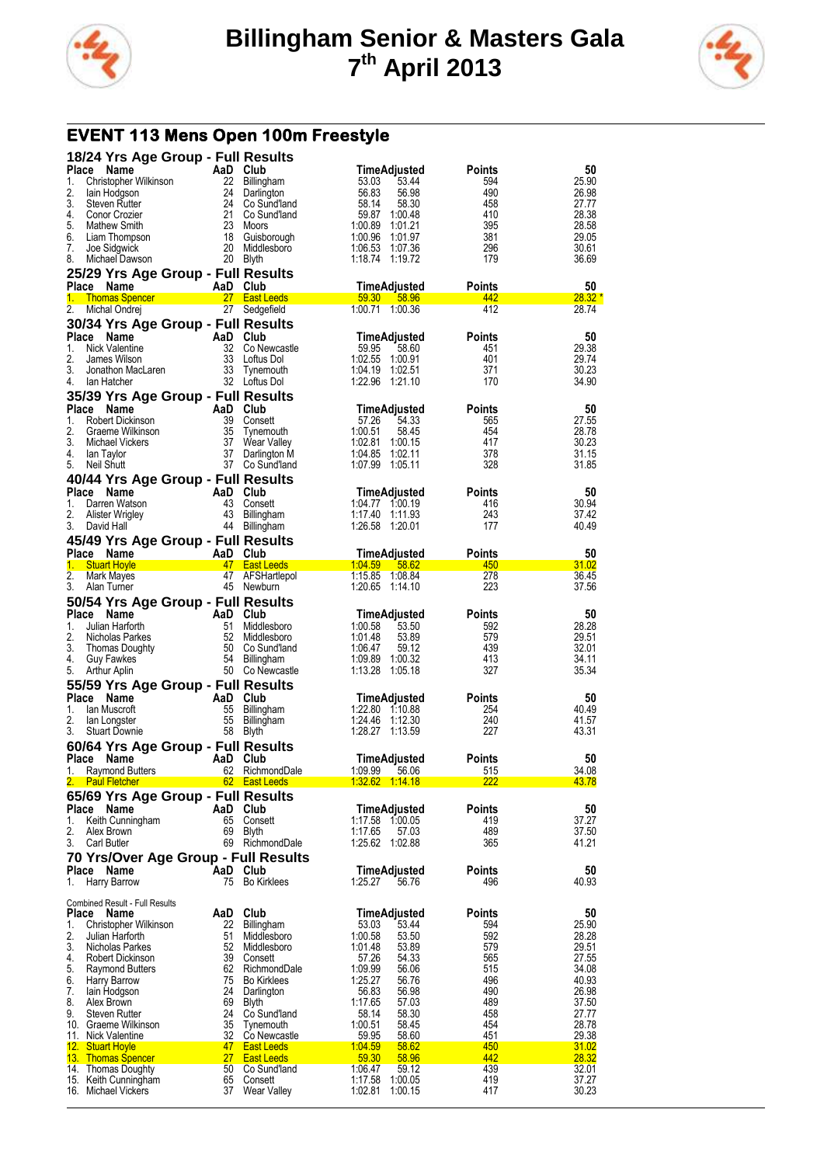



# **EVENT 113 Mens Open 100m Freestyle**

|                    | 18/24 Yrs Age Group - Full Results          |                |                                        |                                           |                      |                |
|--------------------|---------------------------------------------|----------------|----------------------------------------|-------------------------------------------|----------------------|----------------|
| <b>Place</b><br>1. | Name<br>Christopher Wilkinson               | AaD Club<br>22 | Billingham                             | TimeAdjusted<br>53.03<br>53.44            | Points<br>594        | 50<br>25.90    |
| 2.                 | lain Hodgson                                | 24             | Darlington                             | 56.83<br>56.98                            | 490                  | 26.98          |
| 3.                 | <b>Steven Rutter</b>                        | 24             | Co Sund'land                           | 58.14<br>58.30                            | 458                  | 27.77          |
| 4.<br>5.           | Conor Crozier<br><b>Mathew Smith</b>        | 21<br>23       | Co Sund'land                           | 59.87<br>1:00.48<br>1:00.89<br>1.01.21    | 410<br>395           | 28.38<br>28.58 |
| 6.                 | Liam Thompson                               | 18             | Moors<br>Guisborough                   | 1:00.96<br>1:01.97                        | 381                  | 29.05          |
| 7.                 | Joe Sidgwick                                | 20             | Middlesboro                            | 1:06.53<br>1:07.36                        | 296                  | 30.61          |
| 8.                 | Michael Dawson                              | 20             | Blyth                                  | 1:18.74<br>1:19.72                        | 179                  | 36.69          |
|                    | 25/29 Yrs Age Group - Full Results          |                |                                        |                                           |                      |                |
| Place Name<br>1.   | <b>Thomas Spencer</b>                       | AaD Club       | 27 East Leeds                          | TimeAdjusted<br>59.30<br>58.96            | Points<br>442        | 50<br>$28.32*$ |
| 2.                 | Michal Ondrej                               |                | 27 Sedgefield                          | 1:00.71 1:00.36                           | 412                  | 28.74          |
|                    | 30/34 Yrs Age Group - Full Results          |                |                                        |                                           |                      |                |
| <b>Place</b>       | <b>Name</b>                                 | AaD Club       |                                        | TimeAdjusted                              | Points               | 50             |
| 1.<br>2.           | <b>Nick Valentine</b><br>James Wilson       | 32<br>33       | Co Newcastle<br>Loftus Dol             | 59.95<br>58.60<br>1:02.55<br>1:00.91      | 451<br>401           | 29.38<br>29.74 |
| 3.                 | Jonathon MacLaren                           | 33             | Tynemouth                              | 1:04.19 1:02.51                           | 371                  | 30.23          |
| 4.                 | lan Hatcher                                 |                | 32 Loftus Dol                          | 1:22.96<br>1:21.10                        | 170                  | 34.90          |
|                    | 35/39 Yrs Age Group - Full Results          |                |                                        |                                           |                      |                |
| Place              | <b>Name</b>                                 | AaD Club       |                                        | TimeAdjusted                              | Points               | 50             |
| 1.<br>2.           | Robert Dickinson<br>Graeme Wilkinson        | 39<br>35       | Consett<br>Tynemouth                   | 57.26<br>54.33<br>1:00.51<br>58.45        | 565<br>454           | 27.55<br>28.78 |
| 3.                 | Michael Vickers                             |                | 37 Wear Valley                         | 1:02.81<br>1:00.15                        | 417                  | 30.23          |
| 4.                 | lan Taylor                                  | 37             | Darlington M                           | 1:04.85<br>1:02.11                        | 378                  | 31.15          |
| 5.                 | Neil Shutt                                  |                | 37 Co Sund'land                        | 1:07.99<br>1.05.11                        | 328                  | 31.85          |
| Place Name         | 40/44 Yrs Age Group - Full Results          | AaD            | Club                                   | TimeAdjusted                              | Points               | 50             |
| 1.                 | Darren Watson                               | 43             | Consett                                | 1:04.77 1:00.19                           | 416                  | 30.94          |
| 2.                 | Alister Wrigley                             | 43             | Billingham                             | 1:17.40<br>1:11.93                        | 243                  | 37.42          |
| 3.                 | David Hall                                  | 44             | Billingham                             | 1:26.58<br>1:20.01                        | 177                  | 40.49          |
| Place Name         | 45/49 Yrs Age Group - Full Results          |                |                                        |                                           |                      |                |
| 1.                 | <b>Stuart Hoyle</b>                         | AaD Club<br>47 | <b>East Leeds</b>                      | TimeAdjusted<br>1:04.59 58.62             | Points<br>450        | 50<br>31.02    |
| 2.                 | Mark Mayes                                  |                | 47 AFSHartlepol                        | 1:15.85<br>1.08.84                        | 278                  | 36.45          |
| 3.                 | Alan Turner                                 |                | 45 Newburn                             | 1:20.65<br>1:14.10                        | 223                  | 37.56          |
|                    | 50/54 Yrs Age Group - Full Results          |                |                                        |                                           |                      |                |
| Place Name<br>1.   | Julian Harforth                             | AaD<br>51      | Club<br>Middlesboro                    | TimeAdjusted<br>1:00.58<br>53.50          | Points<br>592        | 50<br>28.28    |
| 2.                 | Nicholas Parkes                             | 52             | Middlesboro                            | 1:01.48<br>53.89                          | 579                  | 29.51          |
| 3.                 | Thomas Doughty                              | 50             | Co Sund'land                           | 59.12<br>1:06.47                          | 439                  | 32.01          |
| 4.                 | Guy Fawkes                                  | 54             | Billingham                             | 1:09.89<br>1:00.32                        | 413                  | 34.11          |
|                    |                                             |                |                                        |                                           |                      |                |
| 5.                 | Arthur Aplin                                |                | 50 Co Newcastle                        | 1:13.28<br>1:05.18                        | 327                  | 35.34          |
| Place Name         | 55/59 Yrs Age Group - Full Results          | AaD            | Club                                   | TimeAdjusted                              | Points               | 50             |
| 1.                 | lan Muscroft                                | 55             | Billingham                             | 1:22.80 1:10.88                           | 254                  | 40.49          |
| 2.                 | lan Longster                                | 55             | Billingham                             | 1:24.46<br>1:12.30                        | 240                  | 41.57          |
| 3.                 | <b>Stuart Downie</b>                        | 58             | Blyth                                  | 1:28.27<br>1:13.59                        | 227                  | 43.31          |
| Place Name         | 60/64 Yrs Age Group - Full Results          | AaD            | Club                                   | TimeAdjusted                              | Points               | 50             |
| 1.                 | <b>Raymond Butters</b>                      |                | 62 RichmondDale                        | 1.09.99 56.06                             | 515                  | 34.08          |
| 2.                 | <b>Paul Fletcher</b>                        |                | 62 East Leeds                          | 1.32.62 1.14.18                           | <u> 222</u>          | 43.78          |
|                    | 65/69 Yrs Age Group - Full Results          |                |                                        |                                           |                      |                |
| Place              | Name                                        | AaD Club       |                                        | TimeAdjusted                              | Points<br>419        | 50             |
| 1.<br>2.           | Keith Cunningham<br>Alex Brown              | 65<br>69       | Consett<br><b>Blyth</b>                | 1:17.58 1:00.05<br>1:17.65<br>57.03       | 489                  | 37.27<br>37.50 |
| 3.                 | Carl Butler                                 | 69             | RichmondDale                           | 1:25.62<br>1:02.88                        | 365                  | 41.21          |
|                    | 70 Yrs/Over Age Group - Full Results        |                |                                        |                                           |                      |                |
| Place Name         |                                             | AaD Club       |                                        | TimeAdjusted                              | <b>Points</b>        | 50             |
| 1.                 | Harry Barrow                                | 75             | <b>Bo Kirklees</b>                     | 1:25.27<br>56.76                          | 496                  | 40.93          |
|                    | <b>Combined Result - Full Results</b>       |                |                                        |                                           |                      |                |
| Place<br>1.        | <b>Name</b><br>Christopher Wilkinson        | AaD<br>22      | Club<br><b>Billingham</b>              | TimeAdjusted<br>53.03<br>53.44            | <b>Points</b><br>594 | 50<br>25.90    |
| 2.                 | Julian Harforth                             | 51             | Middlesboro                            | 1:00.58<br>53.50                          | 592                  | 28.28          |
| 3.                 | Nicholas Parkes                             |                | 52 Middlesboro                         | 1.01.48<br>53.89                          | 579                  | 29.51          |
| 4.<br>5.           | Robert Dickinson<br><b>Raymond Butters</b>  | 39             | Consett<br>62 RichmondDale             | 54.33<br>57.26<br>1.09.99<br>56.06        | 565<br>515           | 27.55<br>34.08 |
| 6.                 | Harry Barrow                                |                | 75 Bo Kirklees                         | 1:25.27<br>56.76                          | 496                  | 40.93          |
| 7.                 | lain Hodgson                                | 24             | Darlington                             | 56.98<br>56.83                            | 490                  | 26.98          |
| 8.<br>9.           | Alex Brown<br><b>Steven Rutter</b>          | 69<br>24       | Blyth<br>Co Sund'land                  | 57.03<br>1:17.65<br>58.14<br>58.30        | 489<br>458           | 37.50<br>27.77 |
|                    | 10. Graeme Wilkinson                        | 35             | Tynemouth                              | 58.45<br>1:00.51                          | 454                  | 28.78          |
|                    | 11. Nick Valentine                          |                | 32 Co Newcastle                        | 59.95<br>58.60                            | 451                  | 29.38          |
|                    | 12. Stuart Hoyle<br>13. Thomas Spencer      | 47<br>27       | <b>East Leeds</b><br><b>East Leeds</b> | 1.04.59<br>58.62<br><u>59.30</u><br>58.96 | 450<br>442           | 31.02<br>28.32 |
|                    | 14. Thomas Doughty                          | 50             | Co Sund'land                           | 1:06.47<br>59.12                          | 439                  | 32.01          |
|                    | 15. Keith Cunningham<br>16. Michael Vickers | 65<br>37       | Consett<br>Wear Valley                 | 1:17.58<br>1:00.05<br>1:02.81<br>1:00.15  | 419<br>417           | 37.27<br>30.23 |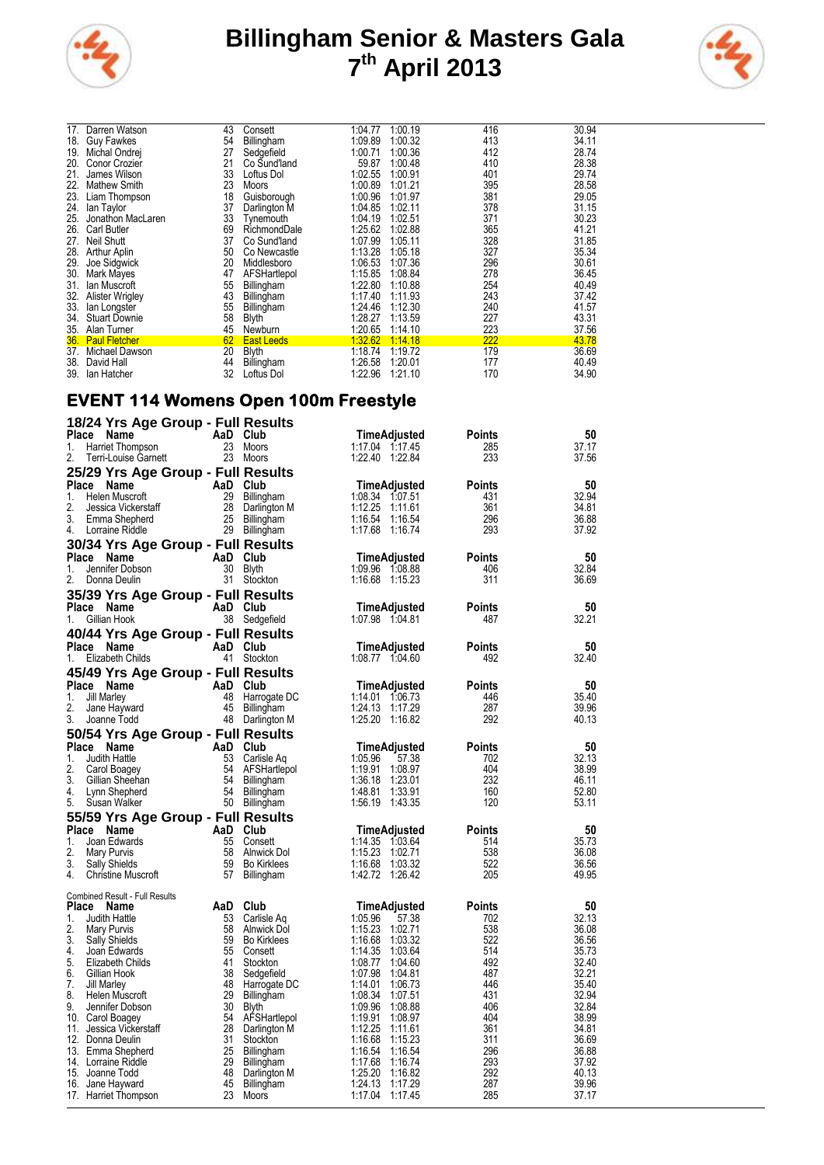



| Darren Watson        | 43                                                                                                                                                                                         | Consett                                            | 1:04.77                                                                                                                                                | 1:00.19                                                                   | 416                | 30.94             |
|----------------------|--------------------------------------------------------------------------------------------------------------------------------------------------------------------------------------------|----------------------------------------------------|--------------------------------------------------------------------------------------------------------------------------------------------------------|---------------------------------------------------------------------------|--------------------|-------------------|
|                      | 54                                                                                                                                                                                         |                                                    | 1:09.89                                                                                                                                                | 1:00.32                                                                   | 413                | 34.11             |
| Michal Ondrej        | 27                                                                                                                                                                                         | Sedgefield                                         | 1:00.71                                                                                                                                                | 1:00.36                                                                   | 412                | 28.74             |
| Conor Crozier        | 21                                                                                                                                                                                         | Co Sund'land                                       | 59.87                                                                                                                                                  | 1:00.48                                                                   | 410                | 28.38             |
| James Wilson         | 33                                                                                                                                                                                         | Loftus Dol                                         | 1:02.55                                                                                                                                                | 1:00.91                                                                   | 401                | 29.74             |
| <b>Mathew Smith</b>  | 23                                                                                                                                                                                         | Moors                                              | 1:00.89                                                                                                                                                | 1:01.21                                                                   | 395                | 28.58             |
|                      |                                                                                                                                                                                            |                                                    |                                                                                                                                                        | 1:01.97                                                                   |                    | 29.05             |
|                      |                                                                                                                                                                                            |                                                    |                                                                                                                                                        |                                                                           |                    | 31.15             |
| Jonathon MacLaren    | 33                                                                                                                                                                                         | Tvnemouth                                          | 1:04.19                                                                                                                                                | 1:02.51                                                                   | 371                | 30.23             |
| <b>Carl Butler</b>   | 69                                                                                                                                                                                         | RichmondDale                                       |                                                                                                                                                        | 1:02.88                                                                   | 365                | 41.21             |
| <b>Neil Shutt</b>    | 37                                                                                                                                                                                         | Co Sund'land                                       | 1:07.99                                                                                                                                                | 1:05.11                                                                   | 328                | 31.85             |
|                      |                                                                                                                                                                                            | Co Newcastle                                       |                                                                                                                                                        | 1:05.18                                                                   | 327                | 35.34             |
|                      |                                                                                                                                                                                            | Middlesboro                                        |                                                                                                                                                        |                                                                           |                    | 30.61             |
|                      | 47                                                                                                                                                                                         |                                                    | 1:15.85                                                                                                                                                | 1:08.84                                                                   | 278                | 36.45             |
| Ian Muscroft         |                                                                                                                                                                                            |                                                    | 1:22.80                                                                                                                                                | 1:10.88                                                                   | 254                | 40.49             |
|                      |                                                                                                                                                                                            |                                                    |                                                                                                                                                        | 1:11.93                                                                   | 243                | 37.42             |
|                      |                                                                                                                                                                                            |                                                    | 1:24.46                                                                                                                                                | 1:12.30                                                                   | 240                | 41.57             |
| Stuart Downie        |                                                                                                                                                                                            |                                                    | 1:28.27                                                                                                                                                | 1:13.59                                                                   | 227                | 43.31             |
|                      | 45                                                                                                                                                                                         | Newburn                                            |                                                                                                                                                        | 1:14.10                                                                   | 223                | 37.56             |
| <b>Paul Fletcher</b> |                                                                                                                                                                                            |                                                    | 1:32.62                                                                                                                                                | 1:14.18                                                                   | 222                | 43.78             |
| Michael Dawson       | 20                                                                                                                                                                                         | <b>Blyth</b>                                       | 1:18.74                                                                                                                                                | 1:19.72                                                                   | 179                | 36.69             |
| David Hall           | 44                                                                                                                                                                                         |                                                    | 1:26.58                                                                                                                                                | 1:20.01                                                                   | 177                | 40.49             |
| lan Hatcher          | 32                                                                                                                                                                                         | Loftus Dol                                         | 1:22.96                                                                                                                                                | 1:21.10                                                                   | 170                | 34.90             |
|                      | <b>Guy Fawkes</b><br>18.<br>23.<br>Liam Thompson<br>lan Taylor<br>Arthur Aplin<br>Joe Sidgwick<br><b>Mark Mayes</b><br><b>Alister Wrigley</b><br>lan Longster<br>34.<br>Alan Turner<br>39. | 18<br>37<br>50<br>20<br>55<br>43<br>55<br>58<br>62 | Billingham<br>Guisborough<br>Darlington M<br>AFSHartlepol<br>Billingham<br>Billingham<br>Billingham<br><b>Blyth</b><br><b>East Leeds</b><br>Billingham | 1:00.96<br>1:04.85<br>1:25.62<br>1:13.28<br>1:06.53<br>1:17.40<br>1:20.65 | 1:02.11<br>1:07.36 | 381<br>378<br>296 |

#### **EVENT 114 Womens Open 100m Freestyle**

|                  | 18/24 Yrs Age Group - Full Results            |          |                                |                                          |               |                |
|------------------|-----------------------------------------------|----------|--------------------------------|------------------------------------------|---------------|----------------|
| Place Name       |                                               | AaD Club |                                | TimeAdjusted                             | Points        | 50             |
| 1.               | Harriet Thompson                              |          | 23 Moors                       | 1:17.04 1:17.45                          | 285           | 37.17          |
| 2.               | Terri-Louise Garnett                          |          | 23 Moors                       | 1:22.40<br>1:22.84                       | 233           | 37.56          |
|                  | 25/29 Yrs Age Group - Full Results            |          |                                |                                          |               |                |
| Place            | Name                                          | AaD Club |                                | <b>TimeAdjusted</b>                      | Points        | 50             |
| 1.<br>2.         | Helen Muscroft                                |          | 29 Billingham                  | 1:08.34 1:07.51<br>1:12.25               | 431<br>361    | 32.94<br>34.81 |
| 3.               | Jessica Vickerstaff<br>Emma Shepherd          | 25       | 28 Darlington M<br>Billingham  | 1:11.61<br>1:16.54<br>1:16.54            | 296           | 36.88          |
| 4.               | Lorraine Riddle                               |          | 29 Billingham                  | 1:17.68<br>1:16.74                       | 293           | 37.92          |
|                  | 30/34 Yrs Age Group - Full Results            |          |                                |                                          |               |                |
| Place Name       |                                               | AaD Club |                                | TimeAdjusted                             | Points        | 50             |
| 1.               | Jennifer Dobson                               |          | 30 Blyth                       | 1:09.96 1:08.88                          | 406           | 32.84          |
| 2.               | Donna Deulin                                  |          | 31 Stockton                    | 1:16.68 1:15.23                          | 311           | 36.69          |
|                  | 35/39 Yrs Age Group - Full Results            |          |                                |                                          |               |                |
| Place Name       |                                               | AaD Club |                                | TimeAdjusted                             | Points        | 50             |
| 1.               | Gillian Hook                                  |          | 38 Sedgefield                  | 1:07.98 1:04.81                          | 487           | 32.21          |
|                  | 40/44 Yrs Age Group - Full Results            |          |                                |                                          |               |                |
| Place Name       |                                               | AaD Club |                                | TimeAdjusted                             | Points        | 50             |
| 1.               | Elizabeth Childs                              |          | 41 Stockton                    | 1:08.77 1:04.60                          | 492           | 32.40          |
|                  | 45/49 Yrs Age Group - Full Results            |          |                                |                                          |               |                |
| Place Name       |                                               | AaD Club |                                | TimeAdjusted                             | Points        | 50             |
| 1.               | <b>Jill Marley</b>                            | 48       | Harrogate DC                   | 1:14.01  1:06.73                         | 446           | 35.40          |
| 2.               | Jane Hayward                                  |          | 45 Billingham                  | 1:24.13<br>1:17.29                       | 287           | 39.96          |
| 3.               | Joanne Todd                                   |          | 48 Darlington M                | 1:25.20<br>1:16.82                       | 292           | 40.13          |
|                  | 50/54 Yrs Age Group - Full Results            |          |                                |                                          |               |                |
| Place Name       |                                               | AaD Club |                                | TimeAdjusted                             | <b>Points</b> | 50             |
| 1.               | Judith Hattle                                 |          | 53 Carlisle Aq                 | 1:05.96<br>57.38                         | 702           | 32.13          |
| 2.               | Carol Boagey                                  | 54       | AFSHartlepol                   | 1:19.91<br>1:08.97                       | 404           | 38.99          |
| 3.               | Gillian Sheehan                               |          | 54 Billingham                  | 1.36.18<br>1:23.01                       | 232           | 46.11          |
| 4.<br>5.         | Lynn Shepherd<br>Susan Walker                 |          | 54 Billingham<br>50 Billingham | 1.48.81<br>1.33.91<br>1:56.19<br>1:43.35 | 160<br>120    | 52.80<br>53.11 |
|                  |                                               |          |                                |                                          |               |                |
|                  | 55/59 Yrs Age Group - Full Results            | AaD Club |                                |                                          | Points        | 50             |
| Place Name<br>1. | Joan Edwards                                  | 55       | Consett                        | TimeAdjusted<br>1:14.35<br>1.03.64       | 514           | 35.73          |
| 2.               | Mary Purvis                                   | 58       | Alnwick Dol                    | 1:15.23<br>1:02.71                       | 538           | 36.08          |
| 3.               | Sally Shields                                 | 59       | <b>Bo Kirklees</b>             | 1:16.68<br>1:03.32                       | 522           | 36.56          |
| 4.               | <b>Christine Muscroft</b>                     | 57       | Billingham                     | 1.42.72<br>1.26.42                       | 205           | 49.95          |
|                  |                                               |          |                                |                                          |               |                |
| Place            | <b>Combined Result - Full Results</b><br>Name | AaD      | Club                           | TimeAdjusted                             | Points        | 50             |
| 1.               | Judith Hattle                                 | 53       | Carlisle Aq                    | 1.05.96<br>57.38                         | 702           | 32.13          |
| 2.               | Mary Purvis                                   | 58       | Alnwick Dol                    | 1:15.23<br>1.02.71                       | 538           | 36.08          |
| 3.               | <b>Sally Shields</b>                          | 59       | <b>Bo Kirklees</b>             | 1:16.68<br>1:03.32                       | 522           | 36.56          |
| 4.               | Joan Edwards                                  | 55       | Consett                        | 1:14.35<br>1.03.64                       | 514           | 35.73          |
| 5.               | Elizabeth Childs                              | 41       | Stockton                       | 1:08.77<br>1:04.60                       | 492           | 32.40          |
| 6.               | Gillian Hook                                  | 38       | Sedgefield                     | 1:07.98<br>1.04.81                       | 487<br>446    | 32.21          |
| 7.<br>8.         | Jill Marley<br>Helen Muscroft                 | 29       | 48 Harrogate DC<br>Billingham  | 1:14.01<br>1:06.73<br>1:08.34<br>1:07.51 | 431           | 35.40<br>32.94 |
| 9.               | Jennifer Dobson                               | 30       | Blyth                          | 1.09.96<br>1:08.88                       | 406           | 32.84          |
|                  | 10. Carol Boagey                              | 54       | AFSHartlepol                   | 1:19.91<br>1:08.97                       | 404           | 38.99          |
| 11.              | Jessica Vickerstaff                           |          | 28 Darlington M                | 1:12.25<br>1.11.61                       | 361           | 34.81          |
|                  | 12. Donna Deulin                              | 31       | Stockton                       | 1:16.68<br>1:15.23                       | 311           | 36.69          |
|                  | 13. Emma Shepherd                             | 25       | Billingham                     | 1:16.54<br>1:16.54                       | 296           | 36.88          |
|                  | 14. Lorraine Riddle                           | 29       | <b>Billingham</b>              | 1.17.68<br>1:16.74                       | 293           | 37.92          |
|                  | 15. Joanne Todd<br>16. Jane Hayward           | 48<br>45 | Darlington M<br>Billingham     | 1:25.20<br>1:16.82<br>1:24.13<br>1:17.29 | 292<br>287    | 40.13<br>39.96 |
|                  | 17. Harriet Thompson                          | 23       | Moors                          | 1:17.04<br>1:17.45                       | 285           | 37.17          |
|                  |                                               |          |                                |                                          |               |                |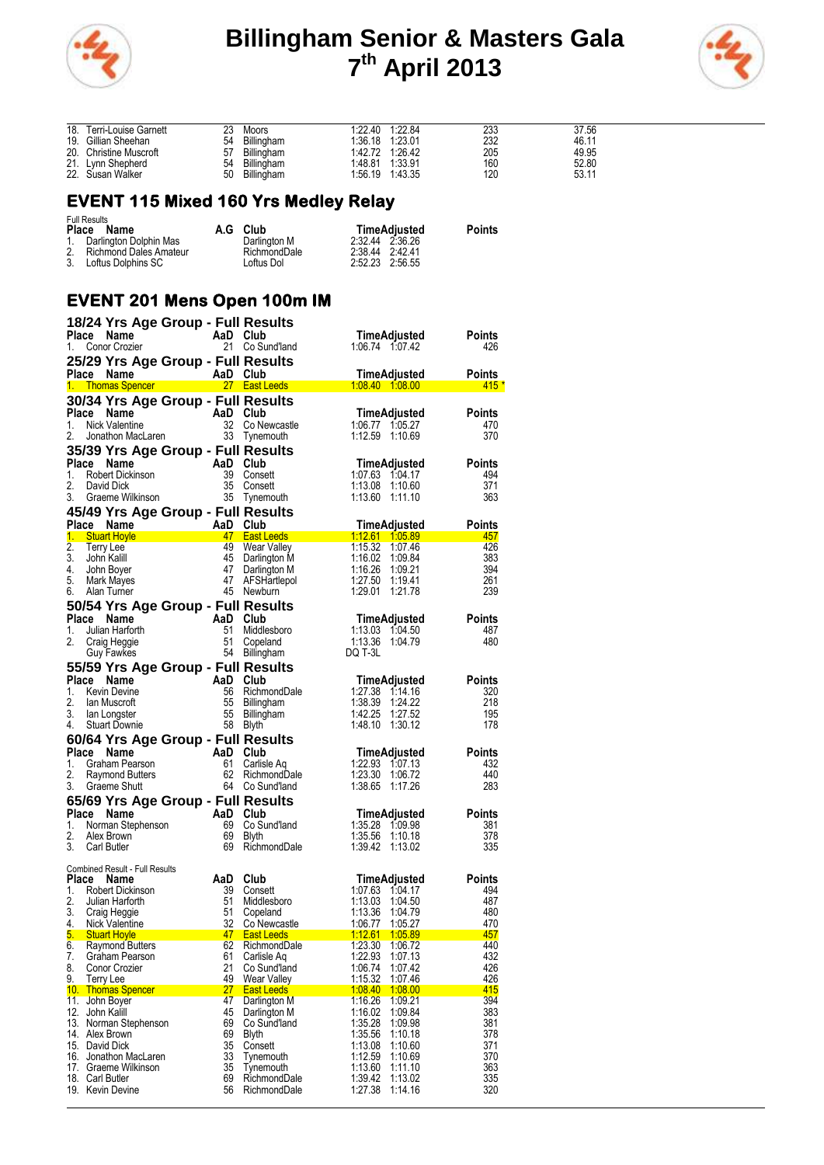



| 18. Terri-Louise Garnett |    | Moors      | 1:22.40 1:22.84 |                 | 233 | 37.56 |
|--------------------------|----|------------|-----------------|-----------------|-----|-------|
| 19. Gillian Sheehan      | 54 | Billingham | 1:36.18 1:23.01 |                 | 232 | 46.11 |
| 20. Christine Muscroft   | 57 | Billingham |                 | 1.42.72 1.26.42 | 205 | 49.95 |
| 21. Lynn Shepherd        | 54 | Billingham | 1:48.81 1:33.91 |                 | 160 | 52.80 |
| 22. Susan Walker         | 50 | Billingham |                 | 1:56.19 1:43.35 | 120 | 53.11 |

# **EVENT 115 Mixed 160 Yrs Medley Relay**

| <b>Full Results</b><br>Place Name | A.G | Club         |                 | TimeAdjusted | <b>Points</b> |
|-----------------------------------|-----|--------------|-----------------|--------------|---------------|
| 1. Darlington Dolphin Mas         |     | Darlington M | 2.32.44 2.36.26 |              |               |
| 2. Richmond Dales Amateur         |     | RichmondDale | 2:38.44 2:42.41 |              |               |
| 3. Loftus Dolphins SC             |     | Loftus Dol   | 2:52.23 2:56.55 |              |               |

# **EVENT 201 Mens Open 100m IM**

|          |                                                                     | 18/24 Yrs Age Group - Full Results                                |                             |                                          |               |
|----------|---------------------------------------------------------------------|-------------------------------------------------------------------|-----------------------------|------------------------------------------|---------------|
| Place    | Name                                                                | AaD Club<br>21 Co.Su                                              |                             | TimeAdjusted                             | Points        |
| 1.       | Conor Crozier                                                       | 21                                                                | Co Sund'land                | 1.06.74 1.07.42                          | 426           |
|          |                                                                     | 25/29 Yrs Age Group - Full Results                                |                             |                                          |               |
|          | Place Name                                                          | AaD Club                                                          |                             | TimeAdjusted                             | Points        |
|          |                                                                     |                                                                   |                             |                                          | $415*$        |
|          |                                                                     | 30/34 Yrs Age Group - Full Results                                |                             |                                          |               |
|          | Place Name<br><b>Ce Name</b><br>Nick Valentine<br>Jonathon MacLaren | AaD Club                                                          |                             | TimeAdjusted                             | Points        |
| 1.       |                                                                     | 32                                                                | Co Newcastle                | 1:06.77 1:05.27                          | 470           |
| 2.       |                                                                     | 33                                                                | Tynemouth                   | 1:12.59 1:10.69                          | 370           |
|          |                                                                     | 35/39 Yrs Age Group - Full Results                                |                             |                                          |               |
|          | Place Name                                                          | AaD Club                                                          |                             | TimeAdjusted                             | Points        |
| 1.<br>2. | Robert Dickinson<br>David Dick                                      | 39<br>35                                                          | Consett                     | 1:07.63 1:04.17<br>1:13.08 1:10.60       | 494<br>371    |
| 3.       | Graeme Wilkinson                                                    | 35                                                                | Consett<br>Tynemouth        | 1:13.60 1:11.10                          | 363           |
|          |                                                                     |                                                                   |                             |                                          |               |
|          | Place Name                                                          | 45/49 Yrs Age Group - Full Results<br>AaD Club                    |                             |                                          | <b>Points</b> |
| 1.       | <b>Stuart Hoyle</b>                                                 |                                                                   | 47 East Leeds               | TimeAdjusted<br>1:12.61  1:05.89         | 457           |
| 2.       | <b>Terry Lee</b>                                                    | 49                                                                | Wear Valley                 | 1:15.32 1:07.46                          | 426           |
| 3.       | John Kalill                                                         | 45                                                                | Darlington M                | 1:16.02 1:09.84                          | 383           |
| 4.       | John Boyer                                                          | 47                                                                | Darlington M                | 1:16.26 1:09.21                          | 394           |
| 5.       | Mark Mayes                                                          | 47                                                                | AFSHartlepol                | 1:27.50 1:19.41                          | 261           |
| 6.       | Alan Turner                                                         |                                                                   | 45 Newburn                  | 1:29.01 1:21.78                          | 239           |
|          |                                                                     | 50/54 Yrs Age Group - Full Results                                |                             |                                          |               |
| Place    | Name                                                                | AaD                                                               | Club                        | TimeAdjusted                             | Points        |
| 1.       | Julian Harforth                                                     | 51                                                                | Middlesboro                 | 1:13.03 1:04.50                          | 487           |
| 2.       | Craig Heggie                                                        | 51<br>54                                                          | Copeland                    | 1:13.36 1:04.79<br>DQ T-3L               | 480           |
|          | Guy Fawkes                                                          |                                                                   | Billingham                  |                                          |               |
|          |                                                                     | 55/59 Yrs Age Group - Full Results                                |                             |                                          |               |
| 1.       | Place Name<br>Kevin Devine                                          | AaD Club<br>56                                                    |                             | TimeAdjusted<br>1:27.38 1:14.16          | Points<br>320 |
| 2.       | lan Muscroft                                                        | 55                                                                | RichmondDale<br>Billingham  | 1:38.39 1:24.22                          | 218           |
| 3.       | lan Longster                                                        | $\overline{a}$<br>55                                              | Billingham                  | 1:42.25 1:27.52                          | 195           |
| 4.       | <b>Stuart Downie</b>                                                | 58                                                                | Blyth                       | 1:48.10 1:30.12                          | 178           |
|          |                                                                     | 60/64 Yrs Age Group - Full Results                                |                             |                                          |               |
| Place    | Name                                                                | AaD<br>$\mathsf{AaD}_{61}$                                        | Club                        | TimeAdjusted                             | Points        |
| 1.       | Graham Pearson                                                      |                                                                   | Carlisle Aq                 | 1:22.93 1:07.13                          | 432           |
| 2.       | Raymond Butters                                                     | 62                                                                | RichmondDale                | 1:23.30 1:06.72                          | 440           |
| 3.       | Graeme Shutt                                                        |                                                                   | 64 Co Sund'land             | 1:38.65 1:17.26                          | 283           |
|          |                                                                     | 65/69 Yrs Age Group - Full Results                                |                             |                                          |               |
|          | Place Name                                                          |                                                                   | Club                        | TimeAdjusted                             | Points        |
| 1.<br>2. |                                                                     |                                                                   | Co Sund'land                | 1:35.28 1:09.98<br>1:35.56 1:10.18       | 381           |
| 3.       | Carl Butler                                                         | And<br>Norman Stephenson 69<br>Alex Brown 69<br>Carl Butler<br>69 | Blyth<br>RichmondDale       | 1:39.42 1:13.02                          | 378<br>335    |
|          |                                                                     |                                                                   |                             |                                          |               |
|          | <b>Combined Result - Full Results</b>                               |                                                                   |                             |                                          |               |
|          | Place Name                                                          | AaD                                                               | Club                        | TimeAdjusted                             | Points        |
| 1.<br>2. | Robert Dickinson<br>Julian Hartorth                                 | 39<br>-51                                                         | Consett<br>Middlesboro      | 1:07.63 1:04.17<br>1:13.03 1:04.50       | 494<br>487    |
|          | 3. Craig Heggie                                                     | 51                                                                | Copeland                    | 1:13.36 1:04.79                          | 480           |
| 4.       | Nick Valentine                                                      | 32                                                                | Co Newcastle                | 1:06.77<br>1:05.27                       | 470           |
|          | 5. Stuart Hoyle                                                     | <u> 1999 - Alban Alban A</u> lban A                               |                             | East Leeds 1:12.61 1:05.89               | 457           |
| 6.       | <b>Raymond Butters</b>                                              | 62                                                                | RichmondDale                | 1:23.30<br>1:06.72                       | 440           |
| 7.       | Graham Pearson                                                      | 61                                                                | Carlisle Aq                 | 1:22.93<br>1:07.13                       | 432           |
| 8.<br>9. | Conor Crozier<br><b>Terry Lee</b>                                   | 21<br>49                                                          | Co Sund'land<br>Wear Valley | 1:06.74<br>1.07.42<br>1:15.32<br>1.07.46 | 426<br>426    |
|          | 10. Thomas Spencer                                                  | 27                                                                | <b>East Leeds</b>           | 1:08.40<br>1:08.00                       | 415           |
|          | 11. John Boyer                                                      | 47                                                                | Darlington M                | 1:16.26<br>1:09.21                       | 394           |
|          | 12. John Kalill                                                     | 45                                                                | Darlington M                | 1:16.02<br>1:09.84                       | 383           |
|          | 13. Norman Stephenson                                               | 69                                                                | Co Sund'land                | 1:35.28<br>1:09.98                       | 381           |
|          | 14. Alex Brown                                                      | 69                                                                | Blyth                       | 1:35.56<br>1:10.18                       | 378           |
|          | 15. David Dick<br>16. Jonathon MacLaren                             | 35<br>33                                                          | Consett<br>Tynemouth        | 1:13.08<br>1:10.60<br>1:12.59<br>1:10.69 | 371<br>370    |
|          | 17. Graeme Wilkinson                                                | 35                                                                | Tynemouth                   | 1:13.60<br>1:11.10                       | 363           |
|          | 18. Carl Butler                                                     | 69                                                                | RichmondDale                | 1:39.42<br>1:13.02                       | 335           |
|          | 19. Kevin Devine                                                    | 56                                                                | RichmondDale                | 1:27.38<br>1:14.16                       | 320           |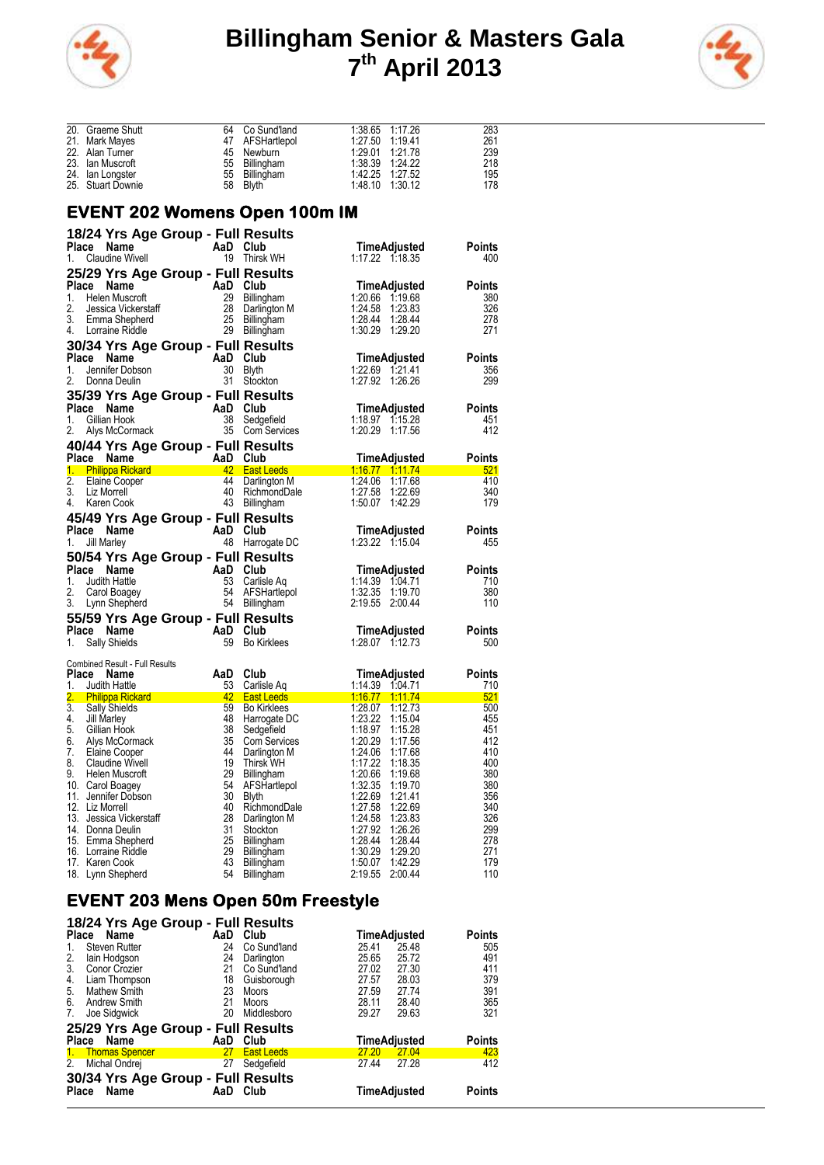



|    | 20. Graeme Shutt                                                                                                                                                                                  | 64              | Co Sund'land                                                                                                                                                                | 1:38.65 1:17.26                                                            | 283           |
|----|---------------------------------------------------------------------------------------------------------------------------------------------------------------------------------------------------|-----------------|-----------------------------------------------------------------------------------------------------------------------------------------------------------------------------|----------------------------------------------------------------------------|---------------|
|    | 21. Mark Mayes                                                                                                                                                                                    |                 | 04 Columbus<br>47 AFSHartlepol                                                                                                                                              |                                                                            | 261           |
|    | 22. Alan Turner                                                                                                                                                                                   | 45              | Newburn                                                                                                                                                                     | 1:29.01 1:21.78                                                            | 239           |
|    | 23. Ian Muscrott                                                                                                                                                                                  | 55              | Billingham                                                                                                                                                                  | $1.29.01 \t 1.21.781.38.39 \t 1.24.221.42.25 \t 1.27.521.48.10 \t 1.30.12$ | 218           |
|    | 24. Ian Longster                                                                                                                                                                                  | 55              | Billingham                                                                                                                                                                  |                                                                            | 195           |
|    | 25. Stuart Downie                                                                                                                                                                                 | 58              | <b>Blyth</b>                                                                                                                                                                | 1:48.10 1:30.12                                                            | 178           |
|    |                                                                                                                                                                                                   |                 |                                                                                                                                                                             |                                                                            |               |
|    | <b>EVENT 202 Womens Open 100m IM</b>                                                                                                                                                              |                 |                                                                                                                                                                             |                                                                            |               |
|    |                                                                                                                                                                                                   |                 |                                                                                                                                                                             |                                                                            |               |
|    | 18/24 Yrs Age Group - Full Results                                                                                                                                                                |                 |                                                                                                                                                                             |                                                                            |               |
|    | Place Name                                                                                                                                                                                        | AaD Club        |                                                                                                                                                                             | TimeAdjusted                                                               | Points        |
| 1. | <b>Claudine Wivell</b>                                                                                                                                                                            |                 | 19 Thirsk WH                                                                                                                                                                | 1:17.22 1:18.35                                                            | 400           |
|    | 25/29 Yrs Age Group - Full Results                                                                                                                                                                |                 |                                                                                                                                                                             |                                                                            |               |
|    | Place Name                                                                                                                                                                                        |                 |                                                                                                                                                                             | TimeAdjusted                                                               | <b>Points</b> |
|    | 1. Helen Muscroft                                                                                                                                                                                 |                 |                                                                                                                                                                             | 1.20.66 1.19.68                                                            | 380           |
| 2. |                                                                                                                                                                                                   |                 |                                                                                                                                                                             | 1:24.58 1:23.83                                                            | 326           |
| 3. |                                                                                                                                                                                                   |                 |                                                                                                                                                                             |                                                                            | 278           |
|    | Ce Name<br>Helen Muscroft<br>Jessica Vickerstaff<br>Emma Shepherd<br>Lorraine Riddle<br>29 Billingham<br>Lorraine Riddle<br>29 Billingham<br>25 Billingham<br>29 Billingham<br>4. Lorraine Riddle |                 |                                                                                                                                                                             | 1:30.29 1:29.20                                                            | 271           |
|    | 30/34 Yrs Age Group - Full Results                                                                                                                                                                |                 |                                                                                                                                                                             |                                                                            |               |
|    | Place Name                                                                                                                                                                                        | AaD Club        |                                                                                                                                                                             | <b>TimeAdjusted</b>                                                        | <b>Points</b> |
| 1. | <b>Ce Name</b><br>Jennifer Dobson<br>Donne Doulin                                                                                                                                                 |                 | 30 Blyth                                                                                                                                                                    | 1:22.69 1:21.41                                                            | 356           |
| 2. | Donna Deulin                                                                                                                                                                                      |                 | 31 Stockton                                                                                                                                                                 | 1:27.92 1:26.26                                                            | 299           |
|    | 35/39 Yrs Age Group - Full Results                                                                                                                                                                |                 |                                                                                                                                                                             |                                                                            |               |
|    | Place Name<br>Ce Name<br>Gillian Hook 38 Sedge<br>AaD Club<br>Allys McCormack 35 Com                                                                                                              |                 |                                                                                                                                                                             | <b>TimeAdjusted</b>                                                        | <b>Points</b> |
| 1. |                                                                                                                                                                                                   |                 | 38 Sedgefield                                                                                                                                                               |                                                                            | 451           |
| 2. |                                                                                                                                                                                                   |                 | 35 Com Services                                                                                                                                                             | 1:20.29 1:17.56                                                            | 412           |
|    | 40/44 Yrs Age Group - Full Results                                                                                                                                                                |                 |                                                                                                                                                                             |                                                                            |               |
|    |                                                                                                                                                                                                   |                 |                                                                                                                                                                             | TimeAdjusted                                                               | Points        |
|    | <b>Place Name Man AaD Club</b><br>1. Philippa Rickard <b>Man A42 East Leeds</b>                                                                                                                   |                 |                                                                                                                                                                             |                                                                            | 521           |
| 2. |                                                                                                                                                                                                   |                 | 44 Darlington M                                                                                                                                                             | 1:24.06 1:17.68                                                            | 410           |
|    | Elaine Cooper<br>Liz Morrell<br>Karen Cook<br>3. Liz Morrell                                                                                                                                      | 40              | RichmondDale                                                                                                                                                                | 1:27.58 1:22.69                                                            | 340           |
| 4. | Karen Cook                                                                                                                                                                                        | 43              | Billingham                                                                                                                                                                  | 1:50.07 1:42.29                                                            | 179           |
|    |                                                                                                                                                                                                   |                 |                                                                                                                                                                             |                                                                            |               |
|    | <b>45/49 Yrs Age Group - Full Results<br/>Place Name AaD Club<br/>1 Jill Marley 48 Harronate DC</b>                                                                                               |                 |                                                                                                                                                                             |                                                                            | <b>Points</b> |
|    |                                                                                                                                                                                                   |                 |                                                                                                                                                                             | TimeAdjusted<br>1:23.22 1:15.04                                            |               |
| 1. | Jill Marley                                                                                                                                                                                       |                 | 48 Harrogate DC                                                                                                                                                             |                                                                            | 455           |
|    | 50/54 Yrs Age Group - Full Results                                                                                                                                                                |                 | $\begin{array}{r} \begin{array}{r} \text{-} \text{---} \text{---} \text{---} \end{array} \end{array}$ <b>AaD</b> Club<br><b>AaD</b> Club<br>53 Carlisle Aq<br>54 AFSHartler |                                                                            |               |
|    | Place Name                                                                                                                                                                                        |                 |                                                                                                                                                                             | TimeAdjusted                                                               | <b>Points</b> |
| 1. | Judith Hattle                                                                                                                                                                                     |                 |                                                                                                                                                                             |                                                                            | 710           |
| 2. | Carol Boagey                                                                                                                                                                                      |                 | 54 AFSHartlepol<br>54 Billingham                                                                                                                                            | 1:32.35 1:19.70                                                            | 380           |
|    | 3. Lynn Shepherd                                                                                                                                                                                  |                 | 54 Billingham                                                                                                                                                               | 2:19.55 2:00.44                                                            | 110           |
|    |                                                                                                                                                                                                   |                 |                                                                                                                                                                             |                                                                            |               |
|    |                                                                                                                                                                                                   |                 |                                                                                                                                                                             | TimeAdjusted                                                               | Points        |
|    | <b>Sally Shields</b>                                                                                                                                                                              |                 | Bo Kirklees                                                                                                                                                                 | 1:28.07 1:12.73                                                            | 500           |
|    | Combined Result - Full Results                                                                                                                                                                    |                 |                                                                                                                                                                             |                                                                            |               |
|    | Place Name                                                                                                                                                                                        |                 | AaD Club                                                                                                                                                                    | TimeAdjusted                                                               | <b>Points</b> |
| 1. | Judith Hattle                                                                                                                                                                                     | 53              | Carlisle Ag                                                                                                                                                                 | 1:14.39 1.04.71                                                            | 710           |
| 2. |                                                                                                                                                                                                   | 42 <sup>2</sup> | <b>East Leeds</b>                                                                                                                                                           | 1.16.77 1.11.74                                                            | 521           |
|    | <b>Philippa Rickard<br/>Philippa Rickard<br/>Sally Shields<br/>Jill Marley<br/>Gillian Hook</b><br>3. Sally Shields                                                                               | 59              | <b>Bo Kirklees</b>                                                                                                                                                          | 1:28.07 1:12.73                                                            | 500           |
| 4. | Jill Marley                                                                                                                                                                                       | 48              | Harrogate DC                                                                                                                                                                | 1:23.22 1:15.04                                                            | 455           |
| 5. | Gillian Hook                                                                                                                                                                                      | 38              | Sedgefield                                                                                                                                                                  | 1:18.97 1:15.28                                                            | 451           |
|    | 6. Alys McCormack                                                                                                                                                                                 | 35              | Com Services                                                                                                                                                                | 1:20.29<br>1:17.56                                                         | 412           |
| 7. | Elaine Cooper                                                                                                                                                                                     | 44              | Darlington M                                                                                                                                                                | 1:24.06<br>1:17.68                                                         | 410           |
| 8. | <b>Claudine Wivell</b>                                                                                                                                                                            | 19              | Thirsk WH                                                                                                                                                                   | 1:17.22<br>1:18.35                                                         | 400           |
| 9. | Helen Muscroft                                                                                                                                                                                    | 29              | Billingham                                                                                                                                                                  | 1:20.66<br>1:19.68                                                         | 380           |
|    | 10. Carol Boagey                                                                                                                                                                                  | 54              | AFSHartlepol                                                                                                                                                                | 1:32.35<br>1:19.70                                                         | 380           |
|    | 11. Jennifer Dobson                                                                                                                                                                               | 30              | <b>Blyth</b>                                                                                                                                                                | 1:22.69<br>1:21.41                                                         | 356           |
|    | 12. Liz Morrell                                                                                                                                                                                   | 40              | RichmondDale                                                                                                                                                                | 1:27.58<br>1:22.69                                                         | 340           |
|    | 13. Jessica Vickerstaff                                                                                                                                                                           | 28<br>31        | Darlington M                                                                                                                                                                | 1:24.58<br>1:23.83                                                         | 326<br>299    |
|    | 14. Donna Deulin<br>15. Emma Shepherd                                                                                                                                                             | 25              | Stockton<br>Billingham                                                                                                                                                      | 1:27.92<br>1:26.26<br>1:28.44<br>1:28.44                                   | 278           |
|    | 16. Lorraine Riddle                                                                                                                                                                               | 29              | <b>Billingham</b>                                                                                                                                                           | 1:30.29<br>1:29.20                                                         | 271           |
|    | 17. Karen Cook                                                                                                                                                                                    | 43              | Billingham                                                                                                                                                                  | 1:50.07<br>1:42.29                                                         | 179           |
|    | 18. Lynn Shepherd                                                                                                                                                                                 | 54              | Billingham                                                                                                                                                                  | 2:19.55<br>2:00.44                                                         | 110           |
|    |                                                                                                                                                                                                   |                 |                                                                                                                                                                             |                                                                            |               |

#### **EVENT 203 Mens Open 50m Freestyle 18/24 Yrs Age Group - Full Results**

| 1974 TIS Age Group - Tull Results |                                                                          |                     |
|-----------------------------------|--------------------------------------------------------------------------|---------------------|
| AaD<br>Club                       | TimeAdjusted                                                             | <b>Points</b>       |
| 24<br>Co Sund'land                | 25.41<br>25.48                                                           | 505                 |
| Darlington<br>24                  | 25.65<br>25.72                                                           | 491                 |
| Co Sund'land<br>21                | 27.02<br>27.30                                                           | 411                 |
| 18<br>Guisborough                 | 28.03<br>27.57                                                           | 379                 |
| 23<br>Moors                       | 27.59<br>27.74                                                           | 391                 |
| 21<br>Moors                       | 28.40<br>28.11                                                           | 365                 |
| Middlesboro<br>20                 | 29.63<br>29.27                                                           | 321                 |
|                                   |                                                                          |                     |
| Club<br>AaD                       |                                                                          | <b>Points</b>       |
| <b>East Leeds</b><br>27           | 27.20<br>27.04                                                           | 423                 |
| 27<br>Sedgefield                  | 27.44<br>27.28                                                           | 412                 |
|                                   |                                                                          |                     |
| AaD<br>Club                       | TimeAdjusted                                                             | <b>Points</b>       |
|                                   | 25/29 Yrs Age Group - Full Results<br>30/34 Yrs Age Group - Full Results | <b>TimeAdjusted</b> |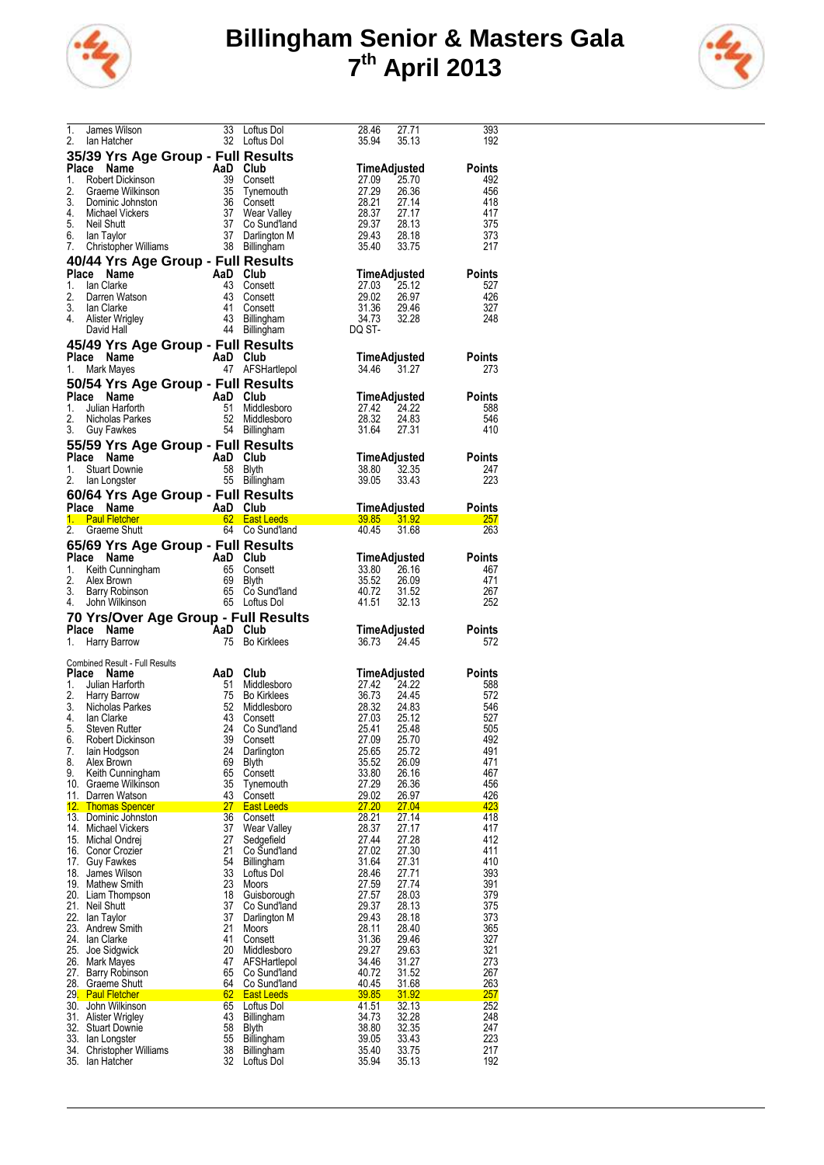



| $\overline{1}$ . | James Wilson                                                                                                                                                        | 33       | Loftus Dol                      | 28.46          | 27.71                   | 393           |
|------------------|---------------------------------------------------------------------------------------------------------------------------------------------------------------------|----------|---------------------------------|----------------|-------------------------|---------------|
| 2.               | lan Hatcher                                                                                                                                                         |          | 32 Loftus Dol                   | 35.94          | 35.13                   | 192           |
|                  |                                                                                                                                                                     |          |                                 |                |                         |               |
|                  | 35/39 Yrs Age Group - Full Results                                                                                                                                  |          |                                 |                |                         |               |
| Place            | Name                                                                                                                                                                |          |                                 |                | TimeAdjusted            | <b>Points</b> |
| 1.               | Robert Dickinson                                                                                                                                                    |          | 39 Consett                      | 27.09          | 25.70                   | 492           |
| 2.               | Graeme Wilkinson                                                                                                                                                    |          | 35 Tynemouth                    | 27.29          | 26.36                   | 456           |
| 3.               | Dominic Johnston                                                                                                                                                    |          | 36 Consett                      |                | 27.14                   | 418           |
|                  | And Cub<br>And Cub<br>39 Conse<br>35 Tynem<br>36 Conse<br>37 Co-Sub<br>37 Co-Sub<br>37 Co-Sub<br>37 Co-Sub<br>37 Co-Sub<br>37 Co-Sub<br>37 Co<br>4. Michael Vickers |          |                                 | 28.21<br>28.37 | 27.17                   | 417           |
|                  |                                                                                                                                                                     |          | Wear Valley                     | 29.37          |                         |               |
|                  | 5. Neil Shutt                                                                                                                                                       |          | 37 Co Sund'land                 |                | 28.13                   | 375           |
| 6.               | lan Taylor                                                                                                                                                          | 37       | Darlington M                    | 29.43          | 28.18                   | 373           |
| 7.               | Christopher Williams                                                                                                                                                | 38       | Billingham                      | 35.40          | 33.75                   | 217           |
|                  | 40/44 Yrs Age Group - Full Results                                                                                                                                  |          |                                 |                |                         |               |
|                  |                                                                                                                                                                     |          |                                 |                |                         |               |
|                  | Place Name                                                                                                                                                          | AaD Club |                                 |                | TimeAdjusted            | <b>Points</b> |
| 1.               | lan Clarke                                                                                                                                                          |          | 43 Consett                      | 27.03          | 25.12                   | 527           |
| 2.               | Darren Watson                                                                                                                                                       | 43       | Consett                         | 29.02          | 26.97                   | 426           |
| 3.               | lan Clarke                                                                                                                                                          | 41       | Consett                         | 31.36          | 29.46                   | 327           |
| 4.               | lan Ulande<br>Alister Wrigley                                                                                                                                       | 43       | Billingham                      | 34.73          | 32.28                   | 248           |
|                  | David Hall                                                                                                                                                          | 44       | Billingham                      | DQ ST-         |                         |               |
|                  |                                                                                                                                                                     |          |                                 |                |                         |               |
|                  | 45/49 Yrs Age Group - Full Results                                                                                                                                  |          |                                 |                |                         |               |
|                  | Place Name                                                                                                                                                          | AaD Club |                                 |                | TimeAdjusted            | <b>Points</b> |
| 1.               | Mark Mayes                                                                                                                                                          |          |                                 | 34.46          | 31.27                   | 273           |
|                  |                                                                                                                                                                     |          | 47 AFSHartlepol                 |                |                         |               |
|                  | 50/54 Yrs Age Group - Full Results                                                                                                                                  |          |                                 |                |                         |               |
|                  | Place Name<br><b>Commission Club</b><br>Julian Harforth <b>1988</b><br>Nicholas Parkes <b>1988</b><br>Guy Eawkes 54 Billing                                         |          |                                 |                | TimeAdjusted            | <b>Points</b> |
| 1.               |                                                                                                                                                                     |          | Middlesboro                     | 27.42          | 24.22                   | 588           |
| 2.               |                                                                                                                                                                     |          |                                 |                | 24.83                   | 546           |
|                  |                                                                                                                                                                     |          | Middlesboro                     | 28.32          |                         |               |
| 3.               | Guy Fawkes                                                                                                                                                          |          | 54 Billingham                   | 31.64          | 27.31                   | 410           |
|                  | 55/59 Yrs Age Group - Full Results                                                                                                                                  |          |                                 |                |                         |               |
|                  |                                                                                                                                                                     |          |                                 |                |                         |               |
|                  | Place Name                                                                                                                                                          |          |                                 |                | TimeAdjusted            | <b>Points</b> |
| 1.               | AaD Club<br>58 Blyth<br>55 Billinol<br><b>Stuart Downie</b>                                                                                                         |          |                                 | 38.80          | 32.35                   | 247           |
| 2.               | lan Longster                                                                                                                                                        |          | 55 Billingham                   | 39.05          | 33.43                   | 223           |
|                  |                                                                                                                                                                     |          |                                 |                |                         |               |
|                  | 60/64 Yrs Age Group - Full Results                                                                                                                                  |          |                                 |                |                         |               |
|                  | Place Name                                                                                                                                                          |          |                                 |                | TimeAdjusted            | <b>Points</b> |
|                  | AaD Club<br>62 East Leeds<br>64 Co.Sundler<br><u>1. Paul Fletcher</u>                                                                                               |          |                                 |                | 39.85 31.92             | <u>257</u>    |
| 2.               | Graeme Shutt                                                                                                                                                        |          | 64 Co Sund'land                 | 40.45          | 31.68                   | 263           |
|                  |                                                                                                                                                                     |          |                                 |                |                         |               |
|                  | 65/69 Yrs Age Group - Full Results                                                                                                                                  |          |                                 |                |                         |               |
|                  | Place Name                                                                                                                                                          |          |                                 |                | TimeAdjusted            | <b>Points</b> |
| 1.               |                                                                                                                                                                     |          |                                 | 33.80          | 26.16                   | 467           |
|                  |                                                                                                                                                                     |          |                                 | 35.52          |                         | 471           |
|                  |                                                                                                                                                                     |          |                                 |                |                         |               |
| 2.               |                                                                                                                                                                     |          |                                 |                |                         |               |
| 3.               |                                                                                                                                                                     |          | 65 Co Sund'land                 | 40.72          |                         | 267           |
| 4.               |                                                                                                                                                                     |          | 65 Loftus Dol                   | 41.51          |                         | 252           |
|                  | Version of the Manufacture<br>Keith Cunningham<br>Alex Brown 65 Consett<br>Barry Robinson 65 Co Sund<br>John Wilkinson 65 Loftus Dr<br><b>Yre /Oversion 1997</b>    |          |                                 |                | zb.09<br>31.52<br>32.13 |               |
|                  |                                                                                                                                                                     |          |                                 |                |                         |               |
|                  | Place Name                                                                                                                                                          |          |                                 |                | TimeAdjusted            | Points        |
|                  | <b>70 Yrs/Over Age Group - Full Results<br/>Place Name AaD Club<br/>1. Harry Barrow 75 Bo Kirklees</b>                                                              |          |                                 | 36.73 24.45    |                         | 572           |
|                  |                                                                                                                                                                     |          |                                 |                |                         |               |
|                  | <b>Combined Result - Full Results</b>                                                                                                                               |          |                                 |                |                         |               |
|                  | Place Name                                                                                                                                                          | AaD Club |                                 |                | TimeAdjusted            | <b>Points</b> |
| 1.               |                                                                                                                                                                     | 51       | Middlesboro                     | 27.42          | 24.22                   | 588           |
|                  | Julian Harforth                                                                                                                                                     |          | 75 Bo Kirklees                  |                | 24.45                   | 572           |
|                  | 2. Harry Barrow                                                                                                                                                     |          |                                 | 36.73          |                         |               |
| 3.               | Nicholas Parkes                                                                                                                                                     | 52       | Middlesboro                     | 28.32          | 24.83                   | 546           |
| 4.               | lan Clarke                                                                                                                                                          | 43       | Consett                         | 27.03          | 25.12                   | 527           |
| 5.               | Steven Rutter                                                                                                                                                       | 24       | Co Sund'land                    | 25.41          | 25.48                   | 505           |
| ь.               | <b>RODER DICKINSON</b>                                                                                                                                              | 39       | Consett                         | 27.09          | 25./V                   | 492           |
| 7.               | lain Hodgson                                                                                                                                                        | 24       | Darlington                      | 25.65          | 25.72                   | 491           |
| 8.               | Alex Brown                                                                                                                                                          | 69       | <b>Blyth</b>                    | 35.52          | 26.09                   | 471           |
| 9.               | Keith Cunningham                                                                                                                                                    | 65       | Consett                         | 33.80          | 26.16                   | 467           |
|                  | 10. Graeme Wilkinson                                                                                                                                                | 35       | Tynemouth                       | 27.29          | 26.36                   | 456           |
|                  | 11. Darren Watson                                                                                                                                                   | 43       |                                 |                |                         |               |
|                  |                                                                                                                                                                     |          | Consett                         | 29.02          | 26.97                   | 426           |
|                  | 12. Thomas Spencer                                                                                                                                                  | 27       | <b>East Leeds</b>               | 27.20          | <u>27.04</u>            | 423           |
|                  | 13. Dominic Johnston                                                                                                                                                | 36       | Consett                         | 28.21          | 27.14                   | 418           |
|                  | 14. Michael Vickers                                                                                                                                                 | 37       | Wear Valley                     | 28.37          | 27.17                   | 417           |
|                  | 15. Michal Ondrej                                                                                                                                                   | 27       | Sedgefield                      | 27.44          | 27.28                   | 412           |
|                  | 16. Conor Crozier                                                                                                                                                   | 21       | Co Sund'land                    | 27.02          | 27.30                   | 411           |
|                  | 17. Guy Fawkes                                                                                                                                                      | 54       | <b>Billingham</b>               | 31.64          | 27.31                   | 410           |
|                  | 18. James Wilson                                                                                                                                                    | 33       | Loftus Dol                      | 28.46          | 27.71                   | 393           |
|                  |                                                                                                                                                                     |          |                                 |                |                         |               |
|                  | 19. Mathew Smith                                                                                                                                                    | 23       | Moors                           | 27.59          | 27.74                   | 391           |
|                  | 20. Liam Thompson                                                                                                                                                   | 18       | Guisborough                     | 27.57          | 28.03                   | 379           |
|                  | 21. Neil Shutt                                                                                                                                                      | 37       | Co Sund'land                    | 29.37          | 28.13                   | 375           |
|                  | 22. Ian Taylor                                                                                                                                                      | 37       | Darlington M                    | 29.43          | 28.18                   | 373           |
|                  | 23. Andrew Smith                                                                                                                                                    | 21       | Moors                           | 28.11          | 28.40                   | 365           |
|                  | 24. Ian Clarke                                                                                                                                                      | 41       | Consett                         | 31.36          | 29.46                   | 327           |
|                  | 25. Joe Sidgwick                                                                                                                                                    | 20       | Middlesboro                     | 29.27          | 29.63                   | 321           |
|                  |                                                                                                                                                                     | 47       |                                 |                |                         |               |
|                  | 26. Mark Mayes                                                                                                                                                      |          | AFSHartlepol                    | 34.46          | 31.27                   | 273           |
| 27.              | Barry Robinson                                                                                                                                                      | 65       | Co Sund'land                    | 40.72          | 31.52                   | 267           |
|                  | 28. Graeme Shutt                                                                                                                                                    | 64       | Co Sund'land                    | 40.45          | 31.68                   | 263           |
|                  | 29. Paul Fletcher                                                                                                                                                   | 62       | <b>East Leeds</b>               | <u>39.85</u>   | <u>31.92</u>            | <u> 257</u>   |
|                  | 30. John Wilkinson                                                                                                                                                  | 65       | Loftus Dol                      | 41.51          | 32.13                   | 252           |
|                  | 31. Alister Wrigley                                                                                                                                                 | 43       | <b>Billingham</b>               | 34.73          | 32.28                   | 248           |
|                  | 32. Stuart Downie                                                                                                                                                   | 58       | <b>Blyth</b>                    | 38.80          | 32.35                   | 247           |
|                  |                                                                                                                                                                     |          |                                 |                |                         |               |
|                  | 33. Ian Longster                                                                                                                                                    | 55       | Billingham                      | 39.05          | 33.43                   | 223           |
|                  | 34. Christopher Williams<br>35. Ian Hatcher                                                                                                                         | 38<br>32 | <b>Billingham</b><br>Loftus Dol | 35.40<br>35.94 | 33.75<br>35.13          | 217<br>192    |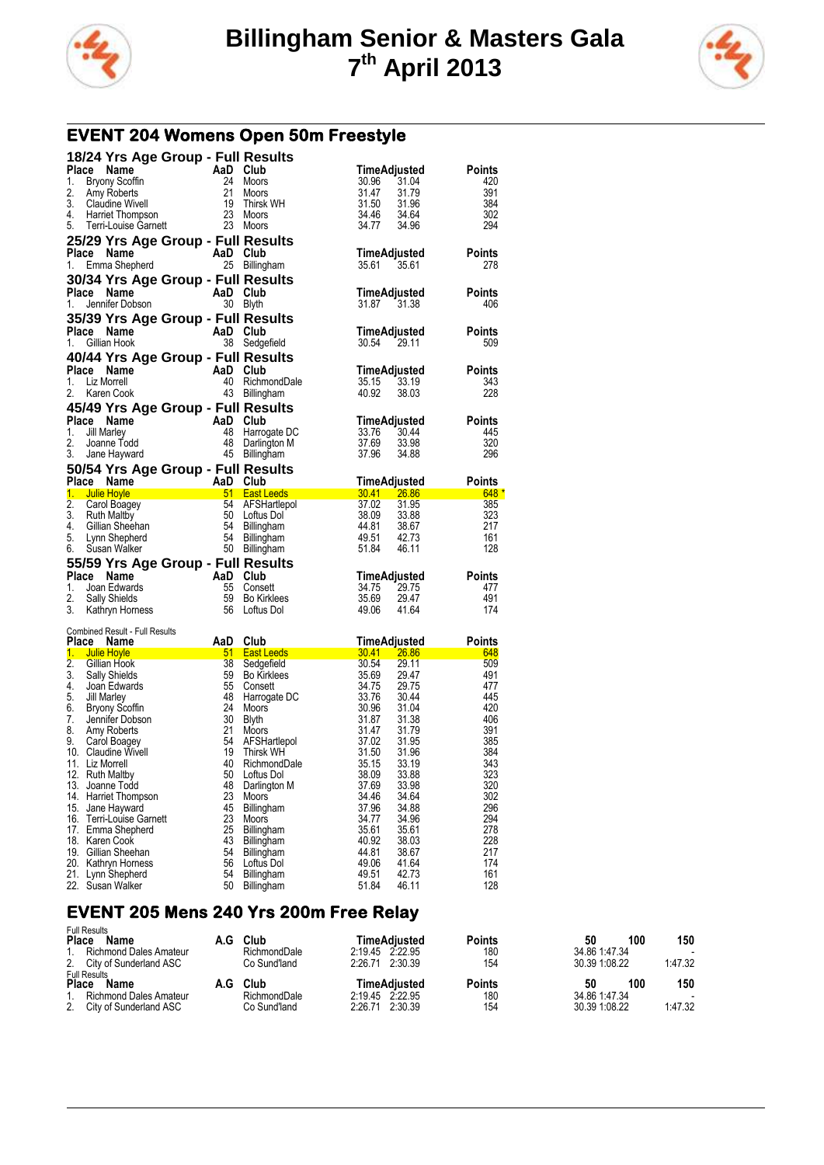



## **EVENT 204 Womens Open 50m Freestyle**

|          | 18/24 Yrs Age Group - Full Results                                                                                                                                                                                       |                                                                                                                                                                                                                                                                                                                                                                                                                                   |                                    |                                            |                      |
|----------|--------------------------------------------------------------------------------------------------------------------------------------------------------------------------------------------------------------------------|-----------------------------------------------------------------------------------------------------------------------------------------------------------------------------------------------------------------------------------------------------------------------------------------------------------------------------------------------------------------------------------------------------------------------------------|------------------------------------|--------------------------------------------|----------------------|
|          | Place Name<br>Company Scoffin<br>Bryony Scoffin<br>And Club<br>Bryony Scoffin<br>24 Moors<br>Claudine Wivell<br>19 Thirsk                                                                                                |                                                                                                                                                                                                                                                                                                                                                                                                                                   |                                    | TimeAdjusted                               | Points               |
| 1.       |                                                                                                                                                                                                                          |                                                                                                                                                                                                                                                                                                                                                                                                                                   | 24 Moors                           | 30.96<br>31.04                             | 420                  |
| 2.<br>3. |                                                                                                                                                                                                                          |                                                                                                                                                                                                                                                                                                                                                                                                                                   | Moors<br>Thirsk WH                 | 31.47<br>31.79<br>31.50                    | 391<br>384           |
| 4.       |                                                                                                                                                                                                                          |                                                                                                                                                                                                                                                                                                                                                                                                                                   |                                    | 34.46                                      | 302                  |
| 5.       | Harriet Thompson 23 Moors<br>Terri-Louise Garnett 23 Moors                                                                                                                                                               |                                                                                                                                                                                                                                                                                                                                                                                                                                   |                                    | $34.64$<br>$34.96$<br>34.77                | 294                  |
|          | 25/29 Yrs Age Group - Full Results                                                                                                                                                                                       |                                                                                                                                                                                                                                                                                                                                                                                                                                   |                                    |                                            |                      |
|          | Place Name                                                                                                                                                                                                               | AaD Club                                                                                                                                                                                                                                                                                                                                                                                                                          |                                    | TimeAdjusted                               | <b>Points</b>        |
| 1.       | Emma Shepherd                                                                                                                                                                                                            |                                                                                                                                                                                                                                                                                                                                                                                                                                   | 25 Billingham                      | 35.61<br>35.61                             | 278                  |
|          | 30/34 Yrs Age Group - Full Results                                                                                                                                                                                       |                                                                                                                                                                                                                                                                                                                                                                                                                                   |                                    |                                            |                      |
| 1.       | Place Name<br>Jennifer Dobson                                                                                                                                                                                            | $\begin{array}{cc}\n\text{AaD} & \text{Club} \\ 30 & \text{Blvth}\n\end{array}$                                                                                                                                                                                                                                                                                                                                                   |                                    | TimeAdjusted<br>31.87 31.38                | <b>Points</b><br>406 |
|          | 35/39 Yrs Age Group - Full Results                                                                                                                                                                                       |                                                                                                                                                                                                                                                                                                                                                                                                                                   |                                    |                                            |                      |
|          | Place Name                                                                                                                                                                                                               | AaD Club                                                                                                                                                                                                                                                                                                                                                                                                                          |                                    | TimeAdjusted                               | <b>Points</b>        |
| 1.       | Gillian Hook                                                                                                                                                                                                             |                                                                                                                                                                                                                                                                                                                                                                                                                                   | 38 Sedgefield                      | 30.54 29.11                                | 509                  |
|          | 40/44 Yrs Age Group - Full Results                                                                                                                                                                                       |                                                                                                                                                                                                                                                                                                                                                                                                                                   |                                    |                                            |                      |
|          | Place Name                                                                                                                                                                                                               | AaD Club                                                                                                                                                                                                                                                                                                                                                                                                                          |                                    | TimeAdjusted                               | <b>Points</b>        |
| 1.<br>2. | Liz Morrell<br>Karen Cook                                                                                                                                                                                                |                                                                                                                                                                                                                                                                                                                                                                                                                                   | 40 RichmondDale<br>43 Billingham   | 35.15<br>33.19<br>40.92<br>38.03           | 343<br>228           |
|          | 45/49 Yrs Age Group - Full Results                                                                                                                                                                                       |                                                                                                                                                                                                                                                                                                                                                                                                                                   |                                    |                                            |                      |
|          | Place Name                                                                                                                                                                                                               |                                                                                                                                                                                                                                                                                                                                                                                                                                   |                                    | TimeAdjusted                               | <b>Points</b>        |
| 1.       | Jill Marley                                                                                                                                                                                                              |                                                                                                                                                                                                                                                                                                                                                                                                                                   | 48 Harrogate DC                    | 33.76<br>30.44                             | 445                  |
| 2.       | Joanne Todd                                                                                                                                                                                                              | AaD Club<br>48 Harrog<br>48 Darling<br>45 Billian                                                                                                                                                                                                                                                                                                                                                                                 | Darlington M                       | 33.98<br>37.69                             | 320                  |
| 3.       | Jane Hayward                                                                                                                                                                                                             |                                                                                                                                                                                                                                                                                                                                                                                                                                   | 45 Billingham                      | 37.96<br>34.88                             | 296                  |
|          | 50/54 Yrs Age Group - Full Results<br>Place Name                                                                                                                                                                         | AaD Club                                                                                                                                                                                                                                                                                                                                                                                                                          |                                    | TimeAdjusted<br>30.41 26.86<br>37.02 31.95 |                      |
|          | 1. Julie Hoyle<br>Unie Hoyle<br>Carol Boagey<br>Carol Boagey<br>S4 AFSHartlepo<br>Cillian Sheehan<br>Lynn Shepherd<br>S4 Billingham<br>Susan Walker<br>S54 Billingham<br>Susan Walker<br>S54 Billingham<br>S1 Billingham | <u> 1999 - Johann John</u>                                                                                                                                                                                                                                                                                                                                                                                                        |                                    | TimeAdjusted Points                        | $-648*$              |
| 2.       |                                                                                                                                                                                                                          |                                                                                                                                                                                                                                                                                                                                                                                                                                   | 54 AFSHartlepol                    |                                            | 385                  |
| 3.       |                                                                                                                                                                                                                          |                                                                                                                                                                                                                                                                                                                                                                                                                                   |                                    |                                            | 323                  |
| 4.<br>5. |                                                                                                                                                                                                                          |                                                                                                                                                                                                                                                                                                                                                                                                                                   |                                    | 44.81<br>38.67<br>49.51<br>42.73           | 217<br>161           |
| 6.       |                                                                                                                                                                                                                          |                                                                                                                                                                                                                                                                                                                                                                                                                                   |                                    | 51.84<br>46.11                             | 128                  |
|          | 55/59 Yrs Age Group - Full Results                                                                                                                                                                                       |                                                                                                                                                                                                                                                                                                                                                                                                                                   |                                    |                                            |                      |
|          | Place Name                                                                                                                                                                                                               | AaD Club<br>55 Conse<br>59 Bo Kirl                                                                                                                                                                                                                                                                                                                                                                                                |                                    | TimeAdjusted                               | <b>Points</b>        |
| 1.<br>2. | Joan Edwards                                                                                                                                                                                                             | 59                                                                                                                                                                                                                                                                                                                                                                                                                                | 55 Consett<br><b>Bo Kirklees</b>   | 34.75<br>29.75<br>35.69<br>29.47           | 477<br>491           |
| 3.       | Sally Shields<br>Kathryn Horness                                                                                                                                                                                         |                                                                                                                                                                                                                                                                                                                                                                                                                                   | 56 Loftus Dol                      | 49.06<br>41.64                             | 174                  |
|          |                                                                                                                                                                                                                          |                                                                                                                                                                                                                                                                                                                                                                                                                                   |                                    |                                            |                      |
|          | Combined Result - Full Results<br>Place Name                                                                                                                                                                             | AaD Club                                                                                                                                                                                                                                                                                                                                                                                                                          |                                    | TimeAdjusted                               | Points               |
|          | 1. Julie Hoyle                                                                                                                                                                                                           | $\frac{1}{\sqrt{1-\frac{1}{\sqrt{1-\frac{1}{\sqrt{1-\frac{1}{\sqrt{1-\frac{1}{\sqrt{1-\frac{1}{\sqrt{1-\frac{1}{\sqrt{1-\frac{1}{\sqrt{1-\frac{1}{\sqrt{1-\frac{1}{\sqrt{1-\frac{1}{\sqrt{1-\frac{1}{\sqrt{1-\frac{1}{\sqrt{1-\frac{1}{\sqrt{1-\frac{1}{\sqrt{1-\frac{1}{\sqrt{1-\frac{1}{\sqrt{1-\frac{1}{\sqrt{1-\frac{1}{\sqrt{1-\frac{1}{\sqrt{1-\frac{1}{\sqrt{1-\frac{1}{\sqrt{1-\frac{1}{\sqrt{1-\frac{1}{\sqrt{1-\frac{1$ | East Leeds 30.41 26.86             |                                            | 648                  |
| 2.       | Gillian Hook                                                                                                                                                                                                             |                                                                                                                                                                                                                                                                                                                                                                                                                                   | Sedgefield                         | 30.54<br>29.11                             | 509                  |
| 4.       | 3. Sally Shields<br>Joan Edwards                                                                                                                                                                                         | 59<br>55                                                                                                                                                                                                                                                                                                                                                                                                                          | <b>Bo Kirklees</b><br>Consett      | 35.69<br>29.47<br>34.75<br>29.75           | 491<br>477           |
| 5.       | Jill Marley                                                                                                                                                                                                              | 48                                                                                                                                                                                                                                                                                                                                                                                                                                | Harrogate DC                       | 33.76<br>30.44                             | 445                  |
| 6.       | Bryony Scoffin                                                                                                                                                                                                           | 24                                                                                                                                                                                                                                                                                                                                                                                                                                | Moors                              | 30.96<br>31.04                             | 420                  |
| 7.       | Jennifer Dobson                                                                                                                                                                                                          | 30                                                                                                                                                                                                                                                                                                                                                                                                                                | <b>Blyth</b>                       | 31.87<br>31.38<br>31.79                    | 406                  |
| 8.<br>9. | Amy Roberts<br>Carol Boagey                                                                                                                                                                                              | 21<br>54                                                                                                                                                                                                                                                                                                                                                                                                                          | Moors<br>AFSHartlepol<br>Thirsk WH | 31.47<br>37.02<br>31.95                    | 391<br>385           |
|          | 10. Claudine Wivell                                                                                                                                                                                                      | 19                                                                                                                                                                                                                                                                                                                                                                                                                                | Thirsk WH                          | 31.50<br>31.96                             | 384                  |
|          | 11. Liz Morrell                                                                                                                                                                                                          | 40                                                                                                                                                                                                                                                                                                                                                                                                                                | RichmondDale                       | 35.15<br>33.19                             | 343                  |
|          | 12. Ruth Maltby<br>13. Joanne Todd                                                                                                                                                                                       | 50<br>48                                                                                                                                                                                                                                                                                                                                                                                                                          | Loftus Dol<br>Darlington M         | 38.09<br>33.88<br>37.69<br>33.98           | 323<br>320           |
|          | 14. Harriet Thompson                                                                                                                                                                                                     | 23                                                                                                                                                                                                                                                                                                                                                                                                                                | <b>Moors</b>                       | 34.46<br>34.64                             | 302                  |
|          | 15. Jane Hayward                                                                                                                                                                                                         | 45                                                                                                                                                                                                                                                                                                                                                                                                                                | Billingham                         | 37.96<br>34.88                             | 296                  |
|          | 16. Terri-Louise Garnett<br>17. Emma Shepherd                                                                                                                                                                            | 23<br>25                                                                                                                                                                                                                                                                                                                                                                                                                          | Moors<br>Billingham                | 34.77<br>34.96<br>35.61<br>35.61           | 294<br>278           |
|          | 18. Karen Cook                                                                                                                                                                                                           | 43                                                                                                                                                                                                                                                                                                                                                                                                                                | Billingham                         | 40.92<br>38.03                             | 228                  |
|          | 19. Gillian Sheehan                                                                                                                                                                                                      | 54                                                                                                                                                                                                                                                                                                                                                                                                                                | <b>Billingham</b>                  | 44.81<br>38.67                             | 217                  |
|          |                                                                                                                                                                                                                          |                                                                                                                                                                                                                                                                                                                                                                                                                                   |                                    |                                            |                      |
|          | 20. Kathryn Horness<br>21. Lynn Shepherd                                                                                                                                                                                 | 56<br>54                                                                                                                                                                                                                                                                                                                                                                                                                          | Loftus Dol<br><b>Billingham</b>    | 49.06<br>41.64<br>49.51<br>42.73           | 174<br>161           |

### **EVENT 205 Mens 240 Yrs 200m Free Relay**

| <b>Full Results</b><br>Place<br>Name<br>1. Richmond Dales Amateur<br>2. City of Sunderland ASC        |     | Club<br>RichmondDale<br>Co Sund'land | TimeAdiusted<br>2:19.45 2:22.95<br>2.26.71 2.30.39 | <b>Points</b><br>180<br>154 | 100<br>50<br>34.86 1.47.34<br>30.39 1:08.22 | 150<br>$\overline{\phantom{0}}$<br>1:47.32 |
|-------------------------------------------------------------------------------------------------------|-----|--------------------------------------|----------------------------------------------------|-----------------------------|---------------------------------------------|--------------------------------------------|
| <b>Full Results</b><br><b>Place</b><br>Name<br>1. Richmond Dales Amateur<br>2. City of Sunderland ASC | A.G | Club<br>RichmondDale<br>Co Sund'land | TimeAdiusted<br>2.19.45 2.22.95<br>2:26.71 2:30.39 | <b>Points</b><br>180<br>154 | 100<br>50<br>34.86 1.47.34<br>30.39 1:08.22 | 150<br>$\overline{\phantom{0}}$<br>1:47.32 |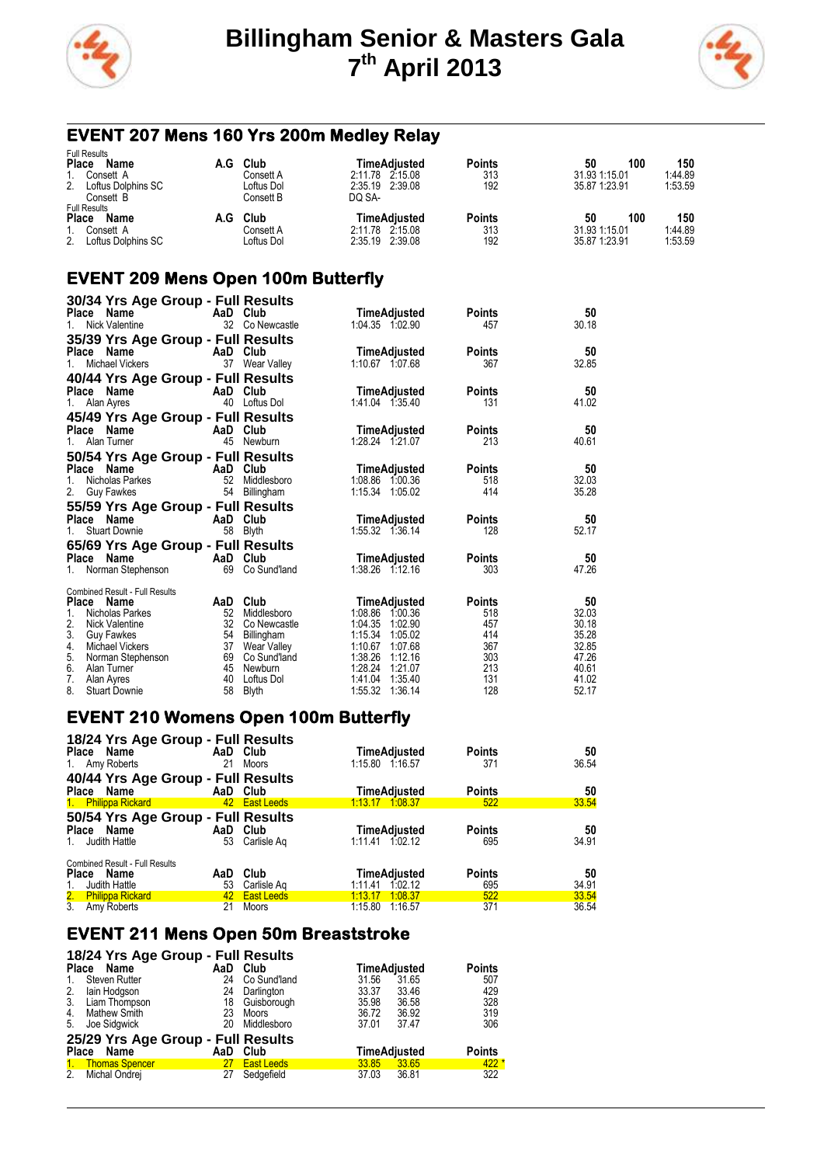



# **EVENT 207 Mens 160 Yrs 200m Medley Relay**

| <b>Full Results</b>                                             |                         |                                 |               |                            |                |
|-----------------------------------------------------------------|-------------------------|---------------------------------|---------------|----------------------------|----------------|
| <b>Place</b><br>Name<br>A.G                                     | Club                    | TimeAdiusted                    | Points        | 100<br>50                  | 150            |
| Consett A                                                       | Consett A               | 2:11.78 2:15.08                 | 313           | 31.93 1:15.01              | 1:44.89        |
| 2.<br>Loftus Dolphins SC<br>Consett B                           | Loftus Dol<br>Consett B | 2:35.19 2:39.08<br>DO SA-       | 192           | 35.87 1:23.91              | 1:53.59        |
| <b>Full Results</b><br><b>Place</b><br>Name<br>A.G<br>Consett A | Club<br>Consett A       | TimeAdiusted<br>2.11.78 2.15.08 | Points<br>313 | 100<br>50<br>31.93 1:15.01 | 150<br>1:44.89 |
| 2 <sub>1</sub><br>Loftus Dolphins SC                            | Loftus Dol              | 2:35.19 2:39.08                 | 192           | 35.87 1:23.91              | 1:53.59        |

## **EVENT 209 Mens Open 100m Butterfly**

| 30/34 Yrs Age Group - Full Results<br>Place Name<br><b>Nick Valentine</b><br>$1_{\cdot}$                  |                | AaD Club<br>32 Co Newcastle                                 | TimeAdjusted<br>1:04.35 1:02.90                                                      | <b>Points</b><br>457        | 50<br>30.18                      |
|-----------------------------------------------------------------------------------------------------------|----------------|-------------------------------------------------------------|--------------------------------------------------------------------------------------|-----------------------------|----------------------------------|
| 35/39 Yrs Age Group - Full Results<br>Place Name<br>Michael Vickers                                       |                | AaD Club<br>37 Wear Valley                                  | TimeAdjusted<br>1:10.67 1.07.68                                                      | <b>Points</b><br>367        | 50<br>32.85                      |
| 40/44 Yrs Age Group - Full Results<br>Place Name<br>Alan Ayres                                            | 40             | AaD Club<br>Loftus Dol                                      | TimeAdjusted<br>1:41.04 1:35.40                                                      | <b>Points</b><br>131        | 50<br>41.02                      |
| 45/49 Yrs Age Group - Full Results<br>Name<br>Place<br>Alan Turner<br>$1_{-}$                             |                | AaD Club<br>45 Newburn                                      | TimeAdjusted<br>1:28.24 1:21.07                                                      | <b>Points</b><br>213        | 50<br>40.61                      |
| 50/54 Yrs Age Group - Full Results<br>Place Name<br>Nicholas Parkes<br>$1_{-}$<br>2.<br><b>Guy Fawkes</b> | 52<br>54       | AaD Club<br>Middlesboro<br>Billingham                       | TimeAdjusted<br>1:08.86 1:00.36<br>1:15.34 1:05.02                                   | <b>Points</b><br>518<br>414 | 50<br>32.03<br>35.28             |
| 55/59 Yrs Age Group - Full Results<br>Place Name<br><b>Stuart Downie</b>                                  | 58             | AaD Club<br><b>Blyth</b>                                    | TimeAdjusted<br>1:55.32 1:36.14                                                      | <b>Points</b><br>128        | 50<br>52.17                      |
| 65/69 Yrs Age Group - Full Results<br>Name<br><b>Place</b>                                                |                | AaD Club                                                    | TimeAdjusted                                                                         | <b>Points</b>               | 50<br>47.26                      |
| Norman Stephenson<br>1.<br><b>Combined Result - Full Results</b><br>Place<br><b>Name</b>                  | 69<br>AaD      | Co Sund'land<br>Club                                        | 1:38.26 1:12.16<br>TimeAdjusted                                                      | 303<br><b>Points</b>        | 50                               |
| 1.<br>Nicholas Parkes<br>2.<br><b>Nick Valentine</b><br>3.<br><b>Guy Fawkes</b><br>4.<br>Michael Vickers  | 52<br>32<br>37 | Middlesboro<br>Co Newcastle<br>54 Billingham<br>Wear Valley | 1.08.86<br>1:00.36<br>1.04.35<br>1:02.90<br>1:15.34<br>1:05.02<br>1:10.67<br>1:07.68 | 518<br>457<br>414<br>367    | 32.03<br>30.18<br>35.28<br>32.85 |
| 5.<br>Norman Stephenson<br>6.<br>Alan Turner<br>7.<br>Alan Ayres<br>8.<br><b>Stuart Downie</b>            | 40<br>58       | 69 Co Sund'land<br>45 Newburn<br>Loftus Dol<br>Blyth        | 1:38.26<br>1:12.16<br>1:28.24<br>1:21.07<br>1:41.04<br>1:35.40<br>1:36.14<br>1:55.32 | 303<br>213<br>131<br>128    | 47.26<br>40.61<br>41.02<br>52.17 |

#### **EVENT 210 Womens Open 100m Butterfly**

| 18/24 Yrs Age Group - Full Results<br>Place Name<br>1. Amy Roberts | 21  | AaD Club<br>Moors | TimeAdjusted<br>1:15.80 1:16.57 | <b>Points</b><br>371 | 50<br>36.54 |
|--------------------------------------------------------------------|-----|-------------------|---------------------------------|----------------------|-------------|
| 40/44 Yrs Age Group - Full Results                                 |     |                   |                                 |                      |             |
| Place Name                                                         |     | AaD Club          | <b>TimeAdjusted</b>             | Points               | 50          |
| 1. Philippa Rickard                                                |     | 42 East Leeds     | 1:13.17 1:08.37                 | 522                  | 33.54       |
| 50/54 Yrs Age Group - Full Results                                 |     |                   |                                 |                      |             |
| Place Name                                                         |     | AaD Club          | TimeAdjusted                    | Points               | 50          |
| Judith Hattle<br>$1_{-}$                                           | 53  | Carlisle Ag       | 1:11.41 1:02.12                 | 695                  | 34.91       |
| <b>Combined Result - Full Results</b>                              |     |                   |                                 |                      |             |
| Place Name                                                         | AaD | Club              | TimeAdjusted                    | <b>Points</b>        | 50          |
| Judith Hattle<br>1.                                                | 53  | Carlisle Ag       | 1.02.12<br>1.11.41              | 695                  | 34.91       |
| 2. Philippa Rickard<br>3. Amy Roberts                              |     | 42 East Leeds     | 1:13.17<br>1:08.37              | 522                  | 33.54       |
|                                                                    | 21  | Moors             | 1:15.80 1:16.57                 | 371                  | 36.54       |

## **EVENT 211 Mens Open 50m Breaststroke**

|                | 18/24 Yrs Age Group - Full Results |          |                   |       |                     |               |
|----------------|------------------------------------|----------|-------------------|-------|---------------------|---------------|
|                | Place Name                         | AaD Club |                   |       | <b>TimeAdjusted</b> | <b>Points</b> |
| $\mathbf{1}$ . | <b>Steven Rutter</b>               | 24       | Co Sund'land      | 31.56 | 31.65               | 507           |
| 2.             | lain Hodgson                       | 24       | Darlington        | 33.37 | 33.46               | 429           |
|                | 3. Liam Thompson                   |          | 18 Guisborough    | 35.98 | 36.58               | 328           |
| 4.             | Mathew Smith                       | 23       | Moors             | 36.72 | 36.92               | 319           |
| 5.             | Joe Sidgwick                       | 20       | Middlesboro       | 37.01 | 37.47               | 306           |
|                | 25/29 Yrs Age Group - Full Results |          |                   |       |                     |               |
|                | Place Name                         | AaD Club |                   |       | TimeAdjusted        | <b>Points</b> |
|                | 1. Thomas Spencer                  | 27       | <b>East Leeds</b> |       | 33.85 33.65         | $422*$        |
| 2.             | Michal Ondrej                      | 27       | Sedgefield        | 37.03 | 36.81               | 322           |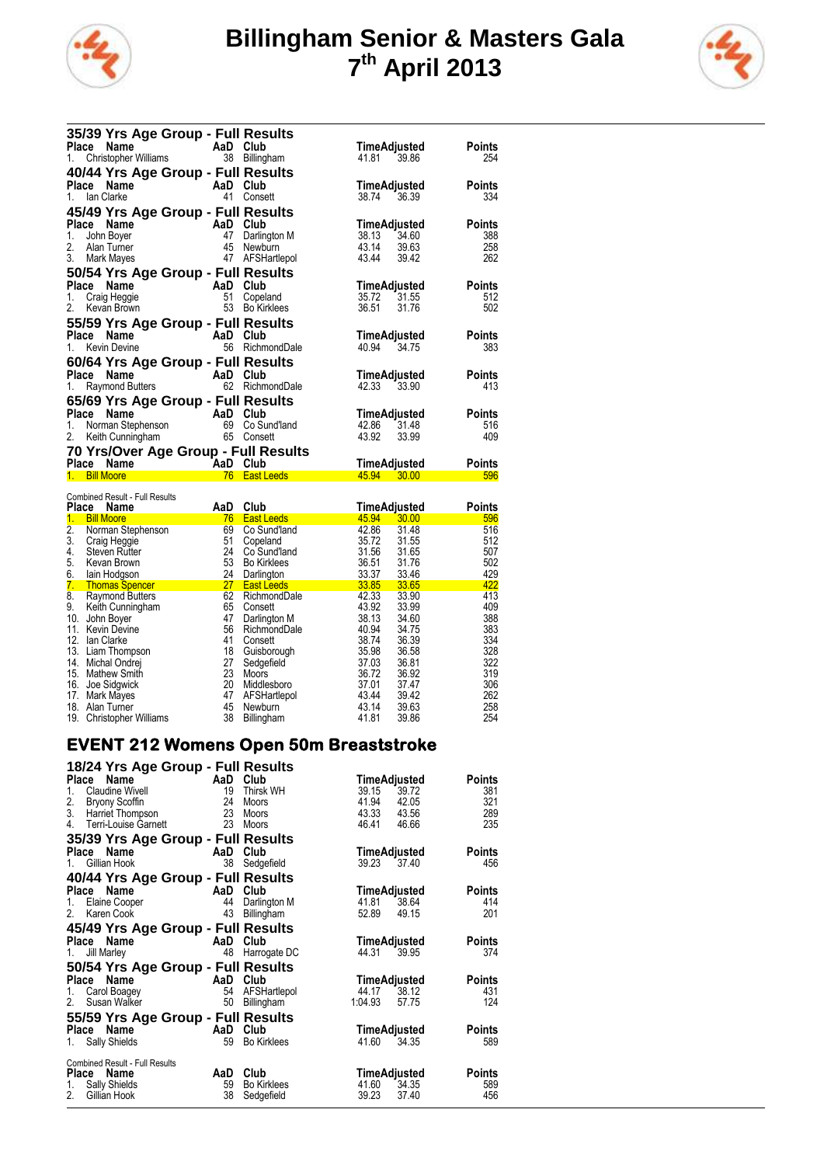



| 35/39 Yrs Age Group - Full Results                                                                                                                                                                                                                                                                                                                                                                                                                                                            |          |                   |                            |               |
|-----------------------------------------------------------------------------------------------------------------------------------------------------------------------------------------------------------------------------------------------------------------------------------------------------------------------------------------------------------------------------------------------------------------------------------------------------------------------------------------------|----------|-------------------|----------------------------|---------------|
| AaD Club<br>Place Name                                                                                                                                                                                                                                                                                                                                                                                                                                                                        |          |                   | TimeAdjusted               | Points        |
| 1. Christopher Williams 38 Billingham                                                                                                                                                                                                                                                                                                                                                                                                                                                         |          |                   | 41.81 39.86                | 254           |
| 40/44 Yrs Age Group - Full Results                                                                                                                                                                                                                                                                                                                                                                                                                                                            |          |                   |                            |               |
| Place Name                                                                                                                                                                                                                                                                                                                                                                                                                                                                                    | AaD Club |                   | TimeAdjusted               | Points        |
| 1. Ian Clarke                                                                                                                                                                                                                                                                                                                                                                                                                                                                                 | 41       | Consett           | 38.74 36.39                | 334           |
| 45/49 Yrs Age Group - Full Results                                                                                                                                                                                                                                                                                                                                                                                                                                                            |          |                   |                            |               |
| <b>Example 2</b><br>Place<br>Name                                                                                                                                                                                                                                                                                                                                                                                                                                                             |          | Club              | TimeAdjusted               | Points        |
| 1.<br>John Boyer                                                                                                                                                                                                                                                                                                                                                                                                                                                                              | 47       | Darlington M      | 38.13 34.60                | 388           |
| 2. Alan Turner                                                                                                                                                                                                                                                                                                                                                                                                                                                                                | 45       | Newburn           | 43.14 39.63<br>43.44 39.42 | 258           |
| 3.<br>Mark Mayes                                                                                                                                                                                                                                                                                                                                                                                                                                                                              |          | 47 AFSHartlepol   |                            | 262           |
| 50/54 Yrs Age Group - Full Results                                                                                                                                                                                                                                                                                                                                                                                                                                                            |          |                   |                            |               |
| Place Name<br>and the AaD                                                                                                                                                                                                                                                                                                                                                                                                                                                                     |          | Club              | TimeAdjusted               | Points        |
| 1. Craig Heggie                                                                                                                                                                                                                                                                                                                                                                                                                                                                               | 51       | Copeland          | 35.72 31.55                | 512           |
| 2. Kevan Brown                                                                                                                                                                                                                                                                                                                                                                                                                                                                                |          | 53 Bo Kirklees    | 31.76<br>36.51             | 502           |
| 55/59 Yrs Age Group - Full Results                                                                                                                                                                                                                                                                                                                                                                                                                                                            |          |                   |                            |               |
| Place Name<br>AaD Club                                                                                                                                                                                                                                                                                                                                                                                                                                                                        |          |                   | TimeAdjusted               | Points        |
| 1. Kevin Devine                                                                                                                                                                                                                                                                                                                                                                                                                                                                               | 56       | RichmondDale      | 40.94 34.75                | 383           |
| 60/64 Yrs Age Group - Full Results                                                                                                                                                                                                                                                                                                                                                                                                                                                            |          |                   |                            |               |
| and the contract of the AaD of the Second Second Second Second Second Second Second Second Second S<br>Place Name                                                                                                                                                                                                                                                                                                                                                                             |          | Club              | TimeAdjusted               | Points        |
| 1. Raymond Butters 62                                                                                                                                                                                                                                                                                                                                                                                                                                                                         |          | RichmondDale      | 42.33 33.90                | 413           |
| 65/69 Yrs Age Group - Full Results                                                                                                                                                                                                                                                                                                                                                                                                                                                            |          |                   |                            |               |
| Place<br>Name<br><b>Example 2</b> AaD Club                                                                                                                                                                                                                                                                                                                                                                                                                                                    |          |                   | TimeAdjusted               | Points        |
| 1. Norman Stephenson                                                                                                                                                                                                                                                                                                                                                                                                                                                                          |          | 69 Co Sund'land   | 42.86 31.48                | 516           |
| 2. Keith Cunningham 65 Consett                                                                                                                                                                                                                                                                                                                                                                                                                                                                |          |                   | 43.92<br>33.99             | 409           |
| 70 Yrs/Over Age Group - Full Results                                                                                                                                                                                                                                                                                                                                                                                                                                                          |          |                   |                            |               |
| $\overline{\phantom{a}}$ $\overline{\phantom{a}}$ $\overline{\phantom{a}}$ $\overline{\phantom{a}}$ $\overline{\phantom{a}}$ $\overline{\phantom{a}}$ $\overline{\phantom{a}}$ $\overline{\phantom{a}}$ $\overline{\phantom{a}}$ $\overline{\phantom{a}}$ $\overline{\phantom{a}}$ $\overline{\phantom{a}}$ $\overline{\phantom{a}}$ $\overline{\phantom{a}}$ $\overline{\phantom{a}}$ $\overline{\phantom{a}}$ $\overline{\phantom{a}}$ $\overline{\phantom{a}}$ $\overline{\$<br>Place Name |          | Club              | TimeAdjusted               | <b>Points</b> |
| 1. Bill Moore                                                                                                                                                                                                                                                                                                                                                                                                                                                                                 | 76       | <b>East Leeds</b> | 45.94<br>30.00             | 596           |
| Combined Decult Full Decultor                                                                                                                                                                                                                                                                                                                                                                                                                                                                 |          |                   |                            |               |

|                           | <b>Combined Result - Full Results</b> |     |                    |       |              |               |
|---------------------------|---------------------------------------|-----|--------------------|-------|--------------|---------------|
| Place                     | <b>Name</b>                           | AaD | Club               |       | TimeAdjusted | <b>Points</b> |
| 1.                        | <b>Bill Moore</b>                     | 76  | <b>East Leeds</b>  | 45.94 | 30.00        | 596           |
| 2.                        | Norman Stephenson                     | 69  | Co Sund'land       | 42.86 | 31.48        | 516           |
| 3.                        | Craig Heggie                          | 51  | Copeland           | 35.72 | 31.55        | 512           |
| 4.                        | <b>Steven Rutter</b>                  | 24  | Co Sund'land       | 31.56 | 31.65        | 507           |
| 5.                        | Kevan Brown                           | 53  | <b>Bo Kirklees</b> | 36.51 | 31.76        | 502           |
| 6.                        | lain Hodgson                          | 24  | Darlington         | 33.37 | 33.46        | 429           |
| 7.                        | <b>Thomas Spencer</b>                 | 27  | <b>East Leeds</b>  | 33.85 | 33.65        | 422           |
| $\overline{\mathbf{8}}$ . | <b>Raymond Butters</b>                | 62  | RichmondDale       | 42.33 | 33.90        | 413           |
| 9.                        | Keith Cunningham                      | 65  | Consett            | 43.92 | 33.99        | 409           |
| 10.                       | John Boyer                            | 47  | Darlington M       | 38.13 | 34.60        | 388           |
| 11.                       | Kevin Devine                          | 56  | RichmondDale       | 40.94 | 34.75        | 383           |
| 12.                       | lan Clarke                            | 41  | Consett            | 38.74 | 36.39        | 334           |
| 13.                       | Liam Thompson                         | 18  | Guisborough        | 35.98 | 36.58        | 328           |
| 14.                       | Michal Ondrej                         | 27  | Sedgefield         | 37.03 | 36.81        | 322           |
| 15.                       | Mathew Smith                          | 23  | Moors              | 36.72 | 36.92        | 319           |
| 16.                       | Joe Sidgwick                          | 20  | Middlesboro        | 37.01 | 37.47        | 306           |
| 17.                       | Mark Mayes                            | 47  | AFSHartlepol       | 43.44 | 39.42        | 262           |
| 18.                       | Alan Turner                           | 45  | Newburn            | 43.14 | 39.63        | 258           |
|                           | 19. Christopher Williams              | 38  | Billingham         | 41.81 | 39.86        | 254           |

## **EVENT 212 Womens Open 50m Breaststroke**

| 18/24 Yrs Age Group - Full Results                                                               |                      |
|--------------------------------------------------------------------------------------------------|----------------------|
| AaD<br>Club<br>Name<br>TimeAdjusted<br>Place                                                     | <b>Points</b>        |
| <b>Claudine Wivell</b><br>39.15<br>19<br>Thirsk WH<br>39.72<br>1.                                | 381                  |
| $\frac{2}{3}$ .<br>41.94<br>24<br>42.05<br><b>Bryony Scoffin</b><br>Moors                        | 321                  |
| 23<br>43.33 43.56<br>Harriet Thompson<br>Moors                                                   | 289                  |
| 4.<br>23<br>Terri-Louise Garnett<br>46.41<br>46.66<br>Moors                                      | 235                  |
| 35/39 Yrs Age Group - Full Results                                                               |                      |
| AaD<br>Club<br>Place Name<br>TimeAdjusted                                                        | <b>Points</b>        |
| Gillian Hook<br>38<br>39.23<br>37.40<br>Sedgefield<br>1.                                         | 456                  |
| 40/44 Yrs Age Group - Full Results                                                               |                      |
| AaD<br>Club<br>Place<br>Name<br>TimeAdjusted                                                     | <b>Points</b>        |
| 38.64<br>41.81<br>Elaine Cooper<br>44<br>Darlington M<br>1.                                      | 414                  |
| 43<br>Karen Cook<br>52.89<br>2.<br>Billingham<br>49.15                                           | 201                  |
| 45/49 Yrs Age Group - Full Results                                                               |                      |
| Name<br>AaD<br>Club<br>TimeAdjusted<br>Place                                                     | <b>Points</b>        |
| 48<br>44.31<br>39.95<br>Jill Marley<br>Harrogate DC<br>1.                                        | 374                  |
|                                                                                                  |                      |
| 50/54 Yrs Age Group - Full Results<br>AaD Club<br>Place Name                                     |                      |
| TimeAdjusted<br>44.17<br>38.12<br>54                                                             | <b>Points</b><br>431 |
| AFSHartlepol<br>Carol Boagey<br>1.<br>2.<br>Susan Walker<br>50<br>Billingham<br>1:04.93<br>57.75 | 124                  |
|                                                                                                  |                      |
| 55/59 Yrs Age Group - Full Results                                                               |                      |
| AaD Club<br>Place Name<br>TimeAdjusted                                                           | <b>Points</b>        |
| <b>Sally Shields</b><br>41.60<br>59<br><b>Bo Kirklees</b><br>34.35<br>1.                         | 589                  |
| <b>Combined Result - Full Results</b>                                                            |                      |
| Club<br>AaD<br>TimeAdjusted<br><b>Place</b><br><b>Name</b>                                       | <b>Points</b>        |
| 41.60<br><b>Sally Shields</b><br>59<br><b>Bo Kirklees</b><br>34.35<br>1.                         | 589                  |
| 2.<br>38<br>39.23<br>37.40<br>Gillian Hook<br>Sedgefield                                         | 456                  |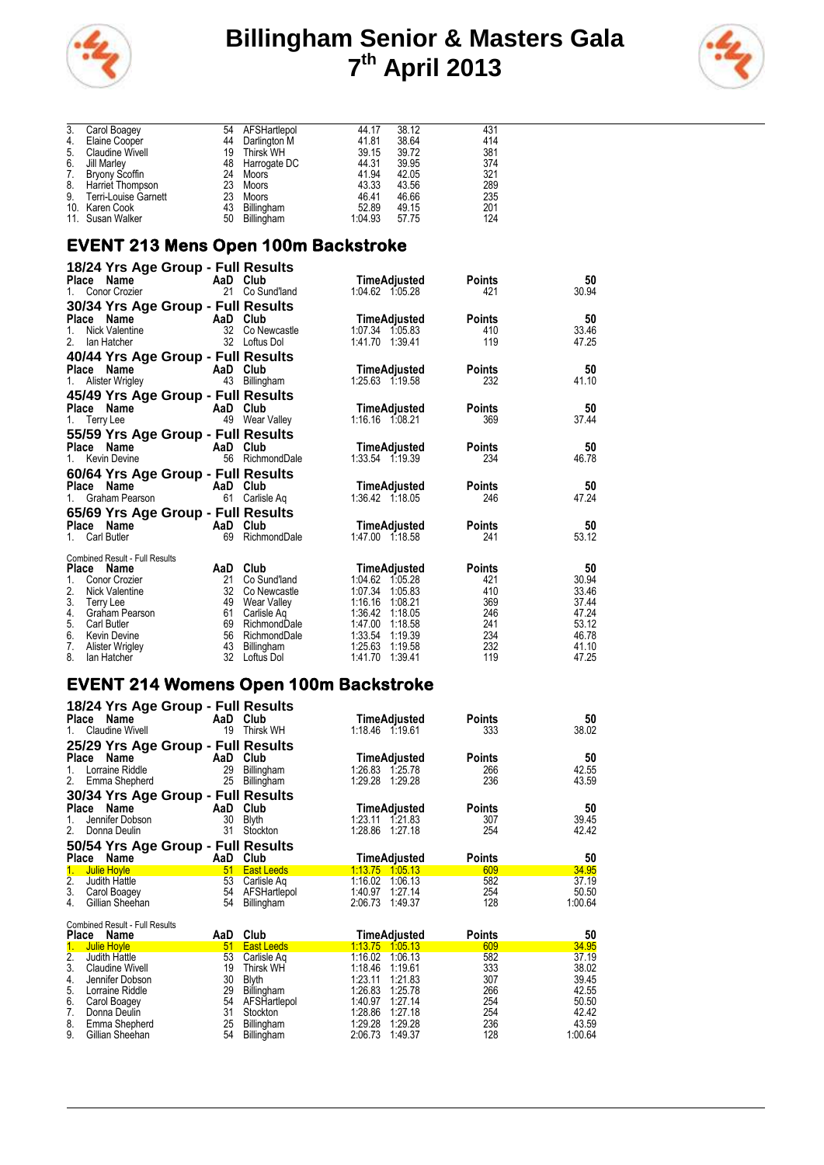



| 3. | Carol Boagey           | 54 | AFSHartlepol    | 44.17   | 38.12 | 431 |
|----|------------------------|----|-----------------|---------|-------|-----|
| 4. | Elaine Cooper          | 44 | Darlington M    | 41.81   | 38.64 | 414 |
| 5. | <b>Claudine Wivell</b> | 19 | Thirsk WH       | 39.15   | 39.72 | 381 |
| 6. | Jill Marley            |    | 48 Harrogate DC | 44.31   | 39.95 | 374 |
| 7. | <b>Bryony Scoffin</b>  | 24 | Moors           | 41.94   | 42.05 | 321 |
| 8. | Harriet Thompson       | 23 | Moors           | 43.33   | 43.56 | 289 |
| 9. | Terri-Louise Garnett   | 23 | Moors           | 46.41   | 46.66 | 235 |
|    | 10. Karen Cook         | 43 | Billingham      | 52.89   | 49.15 | 201 |
|    | 11. Susan Walker       | 50 | Billingham      | 1:04.93 | 57.75 | 124 |

## **EVENT 213 Mens Open 100m Backstroke**

| 18/24 Yrs Age Group - Full Results    |                 |                             |                                          |               |                |
|---------------------------------------|-----------------|-----------------------------|------------------------------------------|---------------|----------------|
| Place Name                            |                 | AaD Club                    | TimeAdjusted                             | <b>Points</b> | 50             |
| Conor Crozier<br>1.                   |                 | 21 Co Sund'land             | 1:04.62 1:05.28                          | 421           | 30.94          |
| 30/34 Yrs Age Group - Full Results    |                 |                             |                                          |               |                |
| Place Name                            |                 | AaD Club                    | TimeAdjusted                             | <b>Points</b> | 50             |
| <b>Nick Valentine</b><br>1.           | 32 <sup>2</sup> | Co Newcastle                | 1:07.34 1:05.83                          | 410           | 33.46          |
| 2.<br>lan Hatcher                     |                 | 32 Loftus Dol               | 1:41.70 1:39.41                          | 119           | 47.25          |
| 40/44 Yrs Age Group - Full Results    |                 |                             |                                          |               |                |
| Place Name                            | AaD             | Club                        | TimeAdjusted                             | <b>Points</b> | 50             |
| Alister Wrigley<br>1.                 |                 | 43 Billingham               | 1:25.63 1:19.58                          | 232           | 41.10          |
| 45/49 Yrs Age Group - Full Results    |                 |                             |                                          |               |                |
| Place Name                            |                 | AaD Club                    | TimeAdjusted                             | <b>Points</b> | 50             |
| 1. Terry Lee                          |                 | 49 Wear Valley              | 1:16.16 1:08.21                          | 369           | 37.44          |
| 55/59 Yrs Age Group - Full Results    |                 |                             |                                          |               |                |
| Place Name                            |                 | AaD Club                    | TimeAdjusted                             | <b>Points</b> | 50             |
| 1. Kevin Devine                       |                 | 56 RichmondDale             | 1:33.54 1:19.39                          | 234           | 46.78          |
| 60/64 Yrs Age Group - Full Results    |                 |                             |                                          |               |                |
| Place Name                            |                 | AaD Club                    | TimeAdjusted                             | <b>Points</b> | 50             |
| Graham Pearson<br>$1_{-}$             | 61              | Carlisle Ag                 | 1:36.42 1:18.05                          | 246           | 47.24          |
| 65/69 Yrs Age Group - Full Results    |                 |                             |                                          |               |                |
| Place Name                            | AaD             | Club                        | TimeAdjusted                             | <b>Points</b> | 50             |
| Carl Butler<br>1.                     |                 | 69 RichmondDale             | 1:47.00 1:18.58                          | 241           | 53.12          |
| <b>Combined Result - Full Results</b> |                 |                             |                                          |               |                |
| Place<br>Name                         |                 | AaD Club                    | <b>TimeAdjusted</b>                      | <b>Points</b> | 50             |
| 1.<br>Conor Crozier<br>2.             | 21              | Co Sund'land                | 1.04.62<br>1:05.28                       | 421           | 30.94          |
| Nick Valentine<br>3.                  | 32<br>49        | Co Newcastle<br>Wear Valley | 1.07.34<br>1:05.83<br>1:16.16<br>1:08.21 | 410<br>369    | 33.46<br>37.44 |
| Terry Lee<br>4.<br>Graham Pearson     | 61              | Carlisle Ag                 | 1:36.42<br>1:18.05                       | 246           | 47.24          |
| 5.<br>Carl Butler                     | 69              | RichmondDale                | 1:18.58<br>1:47.00                       | 241           | 53.12          |
| 6.<br>Kevin Devine                    |                 | 56 RichmondDale             | 1:33.54<br>1:19.39                       | 234           | 46.78          |
| 7.<br><b>Alister Wrigley</b>          | 43              | Billingham                  | 1:25.63<br>1:19.58                       | 232           | 41.10          |
| 8.<br>Ian Hatcher                     | 32              | Loftus Dol                  | 1:41.70<br>1:39.41                       | 119           | 47.25          |

#### **EVENT 214 Womens Open 100m Backstroke**

| 18/24 Yrs Age Group - Full Results<br>Name<br>Place<br><b>Claudine Wivell</b><br>1.                                                                                                                                                         | AaD<br>19                                          | Club<br>Thirsk WH                                                                                                                          | TimeAdjusted<br>1:18.46 1:19.61                                                                                                                                                                    | <b>Points</b><br>333                                        | 50<br>38.02                                                                     |
|---------------------------------------------------------------------------------------------------------------------------------------------------------------------------------------------------------------------------------------------|----------------------------------------------------|--------------------------------------------------------------------------------------------------------------------------------------------|----------------------------------------------------------------------------------------------------------------------------------------------------------------------------------------------------|-------------------------------------------------------------|---------------------------------------------------------------------------------|
| 25/29 Yrs Age Group - Full Results<br>Place<br>Name<br>Lorraine Riddle<br>1.<br>2.<br>Emma Shepherd                                                                                                                                         | AaD<br>29<br>25                                    | Club<br>Billingham<br>Billingham                                                                                                           | TimeAdjusted<br>1:26.83<br>1.25.78<br>1:29.28<br>1:29.28                                                                                                                                           | Points<br>266<br>236                                        | 50<br>42.55<br>43.59                                                            |
| 30/34 Yrs Age Group - Full Results<br>Name<br>Place<br>Jennifer Dobson<br>1.<br>2.<br>Donna Deulin                                                                                                                                          | AaD<br>30<br>31                                    | Club<br><b>Blyth</b><br>Stockton                                                                                                           | TimeAdjusted<br>1:23.11<br>1.21.83<br>1:28.86<br>1:27.18                                                                                                                                           | Points<br>307<br>254                                        | 50<br>39.45<br>42.42                                                            |
| 50/54 Yrs Age Group - Full Results<br>Place<br>Name                                                                                                                                                                                         | AaD                                                | Club                                                                                                                                       | TimeAdjusted                                                                                                                                                                                       | Points                                                      | 50                                                                              |
| 1.<br><b>Julie Hoyle</b><br>$\overline{2}$ .<br>Judith Hattle<br>3.<br>Carol Boagey<br>4.<br>Gillian Sheehan                                                                                                                                | 51<br>53<br>54<br>54                               | <b>East Leeds</b><br>Carlisle Ag<br>AFSHartlepol<br>Billingham                                                                             | 1:13.75<br>1.05.13<br>1:16.02<br>1:06.13<br>1:40.97<br>1:27.14<br>2:06.73<br>1:49.37                                                                                                               | 609<br>582<br>254<br>128                                    | 34.95<br>37.19<br>50.50<br>1:00.64                                              |
| <b>Combined Result - Full Results</b><br><b>Place</b><br>Name                                                                                                                                                                               | AaD                                                | Club                                                                                                                                       | TimeAdjusted                                                                                                                                                                                       | <b>Points</b>                                               | 50                                                                              |
| <b>Julie Hoyle</b><br>1.<br>$\overline{2}$ .<br>Judith Hattle<br>3.<br><b>Claudine Wivell</b><br>4.<br>Jennifer Dobson<br>5.<br>Lorraine Riddle<br>6.<br>Carol Boagey<br>7.<br>Donna Deulin<br>8.<br>Emma Shepherd<br>9.<br>Gillian Sheehan | 51<br>53<br>19<br>30<br>29<br>54<br>31<br>25<br>54 | <b>East Leeds</b><br>Carlisle Aq<br><b>Thirsk WH</b><br><b>Blyth</b><br>Billingham<br>AFSHartlepol<br>Stockton<br>Billingham<br>Billingham | 1:13.75<br>1,05,13<br>1:16.02<br>1:06.13<br>1:18.46<br>1:19.61<br>1:23.11<br>1.21.83<br>1:26.83<br>1:25.78<br>1.40.97<br>1:27.14<br>1:28.86<br>1.27.18<br>1.29.28<br>1:29.28<br>2:06.73<br>1.49.37 | 609<br>582<br>333<br>307<br>266<br>254<br>254<br>236<br>128 | 34.95<br>37.19<br>38.02<br>39.45<br>42.55<br>50.50<br>42.42<br>43.59<br>1:00.64 |